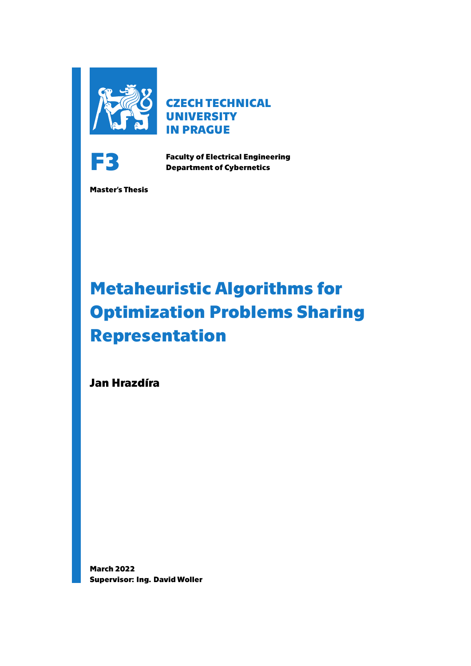

**CZECH TECHNICAL UNIVERSITY IN PRAGUE**



**Faculty of Electrical Engineering Department of Cybernetics**

**Master's Thesis**

# **Metaheuristic Algorithms for Optimization Problems Sharing Representation**

**Jan Hrazdíra**

**March 2022 Supervisor: Ing. David Woller**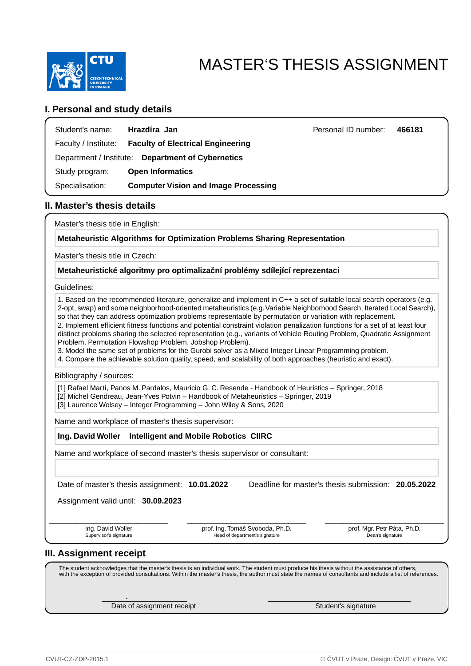

# MASTER'S THESIS ASSIGNMENT

### **I. Personal and study details**

| Student's name:                                   | Hrazdíra Jan                                | Personal ID number: | 466181 |  |  |  |  |
|---------------------------------------------------|---------------------------------------------|---------------------|--------|--|--|--|--|
| Faculty / Institute:                              | <b>Faculty of Electrical Engineering</b>    |                     |        |  |  |  |  |
| Department / Institute: Department of Cybernetics |                                             |                     |        |  |  |  |  |
| Study program:                                    | <b>Open Informatics</b>                     |                     |        |  |  |  |  |
| Specialisation:                                   | <b>Computer Vision and Image Processing</b> |                     |        |  |  |  |  |

### **II. Master's thesis details**

Master's thesis title in English:

**Metaheuristic Algorithms for Optimization Problems Sharing Representation** 

Master's thesis title in Czech:

**Metaheuristické algoritmy pro optimaliza ní problémy sdílející reprezentaci** 

Guidelines:

1. Based on the recommended literature, generalize and implement in C++ a set of suitable local search operators (e.g. 2-opt, swap) and some neighborhood-oriented metaheuristics (e.g.Variable Neighborhood Search, Iterated Local Search), so that they can address optimization problems representable by permutation or variation with replacement. 2. Implement efficient fitness functions and potential constraint violation penalization functions for a set of at least four

distinct problems sharing the selected representation (e.g., variants of Vehicle Routing Problem, Quadratic Assignment Problem, Permutation Flowshop Problem, Jobshop Problem).

3. Model the same set of problems for the Gurobi solver as a Mixed Integer Linear Programming problem.

4. Compare the achievable solution quality, speed, and scalability of both approaches (heuristic and exact).

Bibliography / sources:

[1] Rafael Martí, Panos M. Pardalos, Mauricio G. C. Resende - Handbook of Heuristics – Springer, 2018

[2] Michel Gendreau, Jean-Yves Potvin – Handbook of Metaheuristics – Springer, 2019

[3] Laurence Wolsey – Integer Programming – John Wiley & Sons, 2020

Name and workplace of master's thesis supervisor:

### **Ing. David Woller Intelligent and Mobile Robotics CIIRC**

Name and workplace of second master's thesis supervisor or consultant:

Date of master's thesis assignment: **10.01.2022** Deadline for master's thesis submission: **20.05.2022**

Assignment valid until: **30.09.2023**

.

Ing. David Woller Supervisor's signature prof. Ing. Tomáš Svoboda, Ph.D. Head of department's signature

\_\_\_\_\_\_\_\_\_\_\_\_\_\_\_\_\_\_\_\_\_\_\_\_\_\_\_ \_\_\_\_\_\_\_\_\_\_\_\_\_\_\_\_\_\_\_\_\_\_\_\_\_\_\_ \_\_\_\_\_\_\_\_\_\_\_\_\_\_\_\_\_\_\_\_\_\_\_\_\_\_\_ prof. Mgr. Petr Páta, Ph.D. Dean's signature

### **III. Assignment receipt**

The student acknowledges that the master's thesis is an individual work. The student must produce his thesis without the assistance of others, with the exception of provided consultations. Within the master's thesis, the author must state the names of consultants and include a list of references.

Date of assignment receipt Student's signature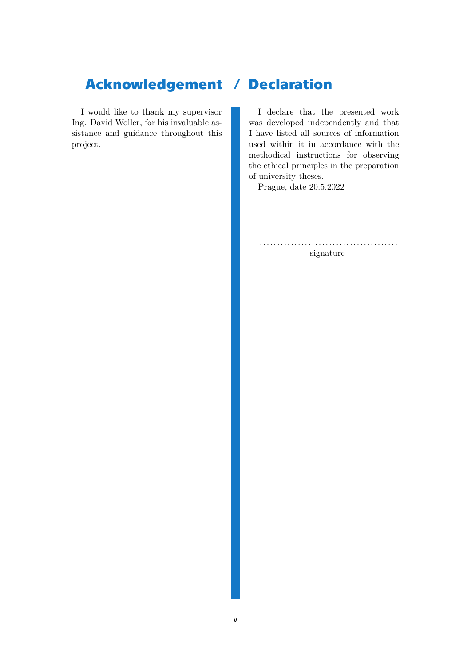## **Acknowledgement / Declaration**

I would like to thank my supervisor Ing. David Woller, for his invaluable assistance and guidance throughout this project.

I declare that the presented work was developed independently and that I have listed all sources of information used within it in accordance with the methodical instructions for observing the ethical principles in the preparation of university theses.

Prague, date 20.5.2022

........................................ signature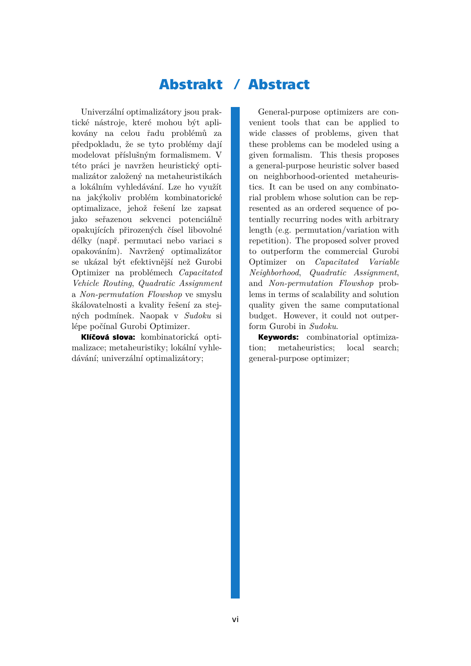## **Abstrakt / Abstract**

Univerzální optimalizátory jsou praktické nástroje, které mohou být aplikovány na celou řadu problémů za předpokladu, že se tyto problémy dají modelovat příslušným formalismem. V této práci je navržen heuristický optimalizátor založený na metaheuristikách a lokálním vyhledávání. Lze ho využít na jakýkoliv problém kombinatorické optimalizace, jehož řešení lze zapsat jako seřazenou sekvenci potenciálně opakujících přirozených čísel libovolné délky (např. permutaci nebo variaci s opakováním). Navržený optimalizátor se ukázal být efektivnější než Gurobi Optimizer na problémech *Capacitated Vehicle Routing*, *Quadratic Assignment* a *Non-permutation Flowshop* ve smyslu škálovatelnosti a kvality řešení za stejných podmínek. Naopak v *Sudoku* si lépe počínal Gurobi Optimizer.

**Klíčová slova:** kombinatorická optimalizace; metaheuristiky; lokální vyhledávání; univerzální optimalizátory;

General-purpose optimizers are convenient tools that can be applied to wide classes of problems, given that these problems can be modeled using a given formalism. This thesis proposes a general-purpose heuristic solver based on neighborhood-oriented metaheuristics. It can be used on any combinatorial problem whose solution can be represented as an ordered sequence of potentially recurring nodes with arbitrary length (e.g. permutation/variation with repetition). The proposed solver proved to outperform the commercial Gurobi Optimizer on *Capacitated Variable Neighborhood*, *Quadratic Assignment*, and *Non-permutation Flowshop* problems in terms of scalability and solution quality given the same computational budget. However, it could not outperform Gurobi in *Sudoku*.

**Keywords:** combinatorial optimization; metaheuristics; local search; general-purpose optimizer;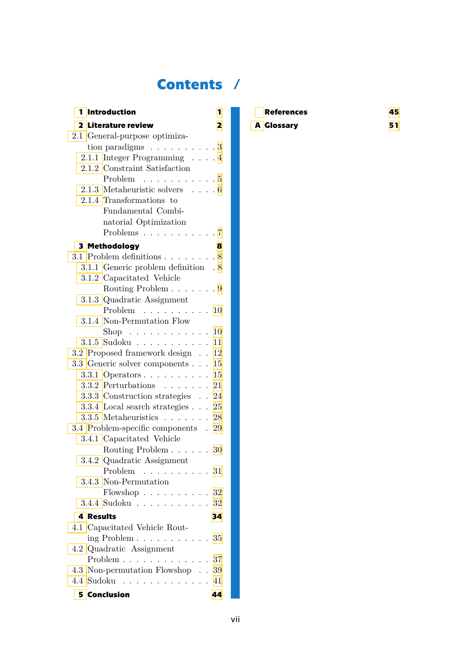## **Contents /**

| 1 Introduction                                                     | 1                  |
|--------------------------------------------------------------------|--------------------|
| 2 Literature review                                                | 2                  |
| 2.1 General-purpose optimiza-                                      |                    |
| tion paradigms $\ldots \ldots \ldots 3$                            |                    |
| 2.1.1 Integer Programming 4                                        |                    |
| 2.1.2 Constraint Satisfaction                                      |                    |
| Problem $\ldots \ldots \ldots \ldots 5$                            |                    |
| 2.1.3 Metaheuristic solvers $\ldots$ .6                            |                    |
| 2.1.4 Transformations to                                           |                    |
| Fundamental Combi-                                                 |                    |
| natorial Optimization                                              |                    |
| Problems $\ldots \ldots \ldots \ldots 7$                           |                    |
| 3 Methodology                                                      | 8                  |
| 3.1 Problem definitions $\ldots \ldots \ldots 8$                   |                    |
| 3.1.1 Generic problem definition . 8                               |                    |
| 3.1.2 Capacitated Vehicle                                          |                    |
| Routing Problem 9                                                  |                    |
| 3.1.3 Quadratic Assignment                                         |                    |
| Problem $\ldots \ldots \ldots 10$                                  |                    |
| 3.1.4 Non-Permutation Flow                                         |                    |
| $\text{Shop} \quad \ldots \quad \ldots \quad \ldots \quad \ldots$  | 10                 |
| 3.1.5 Sudoku                                                       | 11                 |
| 3.2 Proposed framework design                                      | 12                 |
| 3.3 Generic solver components                                      | 15                 |
| 3.3.1 Operators $\ldots$ $\ldots$ $\ldots$                         | 15                 |
| $3.3.2$ Perturbations 21                                           |                    |
| 3.3.3 Construction strategies 24                                   |                    |
| $3.3.4\,$ Local search strategies $\,25$<br>$3.3.5$ Metaheuristics |                    |
| 3.4 Problem-specific components . 29                               | $\mathbf{r}$<br>28 |
| 3.4.1 Capacitated Vehicle                                          |                    |
| Routing Problem 30                                                 |                    |
| 3.4.2 Quadratic Assignment                                         |                    |
| Problem $\ldots \ldots \ldots 31$                                  |                    |
| 3.4.3 Non-Permutation                                              |                    |
| Flowshop $\ldots \ldots \ldots 32$                                 |                    |
| $3.4.4$ Sudoku 32                                                  |                    |
| <b>4 Results</b>                                                   | 34                 |
| 4.1 Capacitated Vehicle Rout-                                      |                    |
| ing Problem $\ldots \ldots \ldots \ldots 35$                       |                    |
| 4.2 Quadratic Assignment                                           |                    |
| Problem 37                                                         |                    |
| 4.3 Non-permutation Flowshop 39                                    |                    |
| 4.4 Sudoku 41                                                      |                    |
| 5 Conclusion <b>Section Section Section Section</b>                | 44                 |

| <b>References</b> | 45 |
|-------------------|----|
| A Glossary        | 51 |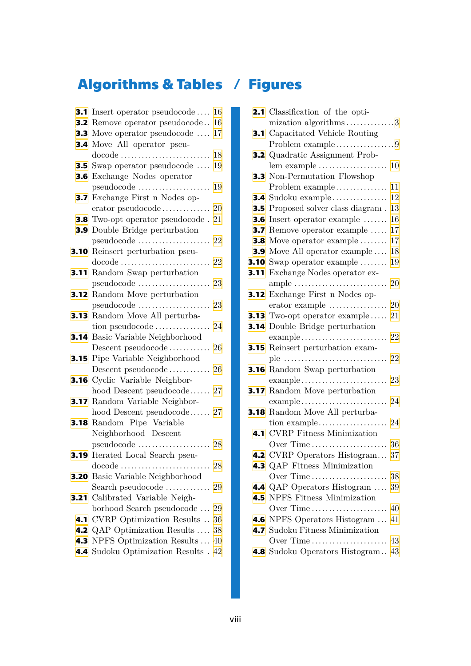# **Algorithms & Tables / Figures**

|      | <b>3.1</b> Insert operator pseudocode $\dots$ 16              |    |
|------|---------------------------------------------------------------|----|
|      | <b>3.2</b> Remove operator pseudocode 16                      |    |
|      | <b>3.3</b> Move operator pseudocode $\dots$                   | 17 |
|      | <b>3.4</b> Move All operator pseu-                            |    |
|      | docode                                                        | 18 |
|      | <b>3.5</b> Swap operator pseudocode $\dots$ 19                |    |
|      | <b>3.6</b> Exchange Nodes operator                            |    |
|      | pseudocode                                                    | 19 |
| 3.7  | Exchange First n Nodes op-                                    |    |
|      |                                                               |    |
|      | <b>3.8</b> Two-opt operator pseudocode . 21                   |    |
|      | <b>3.9</b> Double Bridge perturbation                         |    |
|      |                                                               |    |
|      | 3.10 Reinsert perturbation pseu-                              |    |
|      | $\text{docode}$                                               | 22 |
|      | <b>3.11</b> Random Swap perturbation                          |    |
|      |                                                               | 23 |
|      | <b>3.12</b> Random Move perturbation                          |    |
|      | pseudocode                                                    | 23 |
|      | <b>3.13</b> Random Move All perturba-                         |    |
|      |                                                               |    |
|      | <b>3.14</b> Basic Variable Neighborhood                       |    |
|      | Descent pseudocode 26                                         |    |
|      | <b>3.15</b> Pipe Variable Neighborhood                        |    |
|      |                                                               |    |
|      | <b>3.16</b> Cyclic Variable Neighbor-                         |    |
|      | hood Descent pseudocode 27                                    |    |
|      | <b>3.17</b> Random Variable Neighbor-                         |    |
|      | hood Descent pseudocode 27                                    |    |
|      | <b>3.18</b> Random Pipe Variable                              |    |
|      | Neighborhood Descent                                          |    |
|      |                                                               |    |
|      | 3.19 Iterated Local Search pseu-                              |    |
|      | $\text{docode} \dots \dots$                                   | 28 |
| 3.20 | Basic Variable Neighborhood                                   |    |
|      | Search pseudocode<br>Calibrated Variable Neigh-               | 29 |
| 3.21 |                                                               |    |
|      | borhood Search pseudocode<br>4.1 CVRP Optimization Results 36 | 29 |
|      | <b>4.2</b> QAP Optimization Results  38                       |    |
| 4.3  | NPFS Optimization Results  40                                 |    |
|      | 4.4 Sudoku Optimization Results . 42                          |    |
|      |                                                               |    |

|                  | <b>2.1</b> Classification of the opti-               |
|------------------|------------------------------------------------------|
|                  | mization algorithms3                                 |
| 3.1              | Capacitated Vehicle Routing                          |
|                  | Problem example9                                     |
|                  | <b>3.2</b> Quadratic Assignment Prob-                |
|                  | lem example<br>10                                    |
|                  | <b>3.3</b> Non-Permutation Flowshop                  |
|                  | 11<br>Problem example                                |
|                  | 12<br><b>3.4</b> Sudoku example                      |
|                  | 3.5 Proposed solver class diagram.<br>13             |
| 3.6              | Insert operator example<br>16                        |
| 3.7              | Remove operator example<br>17                        |
| 3.8              | Move operator example<br>17                          |
| 3.9 <sub>°</sub> | Move All operator example<br>18                      |
|                  | <b>3.10</b> Swap operator example $\dots\dots$<br>19 |
| 3.11             | Exchange Nodes operator ex-                          |
|                  | 20<br>ample                                          |
| 3.12             | Exchange First n Nodes op-                           |
|                  |                                                      |
|                  | <b>3.13</b> Two-opt operator example $\dots$<br>21   |
| 3.14             | Double Bridge perturbation                           |
|                  | example<br>22                                        |
| 3.15             | Reinsert perturbation exam-                          |
|                  | 22<br>ple                                            |
| 3.16             | Random Swap perturbation                             |
|                  | $\alpha$ example<br>23                               |
| 3.17             | Random Move perturbation                             |
|                  | $\alpha$ example<br>24                               |
| 3.18             | Random Move All perturba-                            |
|                  | tion example<br>24                                   |
| 4.1              | <b>CVRP</b> Fitness Minimization                     |
|                  | 36<br>Over Time                                      |
|                  | <b>4.2</b> CVRP Operators Histogram<br>37            |
|                  | 4.3 QAP Fitness Minimization                         |
|                  | 4.4 QAP Operators Histogram  39                      |
|                  |                                                      |
|                  | <b>4.5</b> NPFS Fitness Minimization                 |
|                  | 4.6 NPFS Operators Histogram  41                     |
|                  | 4.7 Sudoku Fitness Minimization                      |
|                  |                                                      |
|                  | 4.8 Sudoku Operators Histogram 43                    |
|                  |                                                      |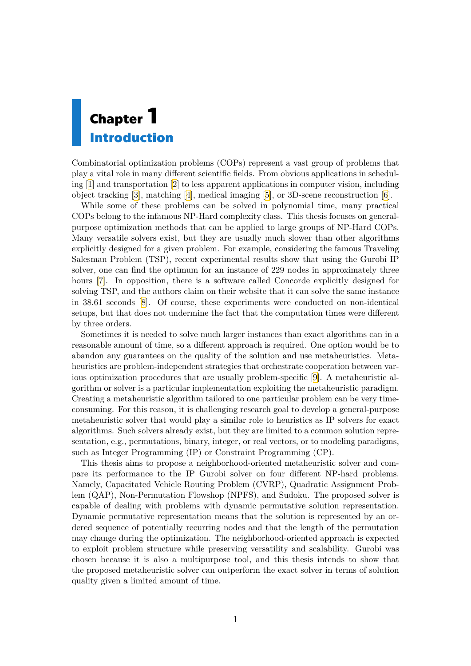# <span id="page-8-1"></span><span id="page-8-0"></span>**Chapter1 Introduction**

Combinatorial optimization problems (COPs) represent a vast group of problems that play a vital role in many different scientific fields. From obvious applications in scheduling [\[1\]](#page-52-1) and transportation [\[2\]](#page-52-2) to less apparent applications in computer vision, including object tracking [\[3\]](#page-52-3), matching [\[4\]](#page-52-4), medical imaging [\[5\]](#page-52-5), or 3D-scene reconstruction [\[6](#page-52-6)].

While some of these problems can be solved in polynomial time, many practical COPs belong to the infamous NP-Hard complexity class. This thesis focuses on generalpurpose optimization methods that can be applied to large groups of NP-Hard COPs. Many versatile solvers exist, but they are usually much slower than other algorithms explicitly designed for a given problem. For example, considering the famous Traveling Salesman Problem (TSP), recent experimental results show that using the Gurobi IP solver, one can find the optimum for an instance of 229 nodes in approximately three hours[[7](#page-52-7)]. In opposition, there is a software called Concorde explicitly designed for solving TSP, and the authors claim on their website that it can solve the same instance in 38.61 seconds[[8](#page-52-8)]. Of course, these experiments were conducted on non-identical setups, but that does not undermine the fact that the computation times were different by three orders.

Sometimes it is needed to solve much larger instances than exact algorithms can in a reasonable amount of time, so a different approach is required. One option would be to abandon any guarantees on the quality of the solution and use metaheuristics. Metaheuristics are problem-independent strategies that orchestrate cooperation between various optimization procedures that are usually problem-specific[[9](#page-52-9)]. A metaheuristic algorithm or solver is a particular implementation exploiting the metaheuristic paradigm. Creating a metaheuristic algorithm tailored to one particular problem can be very timeconsuming. For this reason, it is challenging research goal to develop a general-purpose metaheuristic solver that would play a similar role to heuristics as IP solvers for exact algorithms. Such solvers already exist, but they are limited to a common solution representation, e.g., permutations, binary, integer, or real vectors, or to modeling paradigms, such as Integer Programming (IP) or Constraint Programming (CP).

This thesis aims to propose a neighborhood-oriented metaheuristic solver and compare its performance to the IP Gurobi solver on four different NP-hard problems. Namely, Capacitated Vehicle Routing Problem (CVRP), Quadratic Assignment Problem (QAP), Non-Permutation Flowshop (NPFS), and Sudoku. The proposed solver is capable of dealing with problems with dynamic permutative solution representation. Dynamic permutative representation means that the solution is represented by an ordered sequence of potentially recurring nodes and that the length of the permutation may change during the optimization. The neighborhood-oriented approach is expected to exploit problem structure while preserving versatility and scalability. Gurobi was chosen because it is also a multipurpose tool, and this thesis intends to show that the proposed metaheuristic solver can outperform the exact solver in terms of solution quality given a limited amount of time.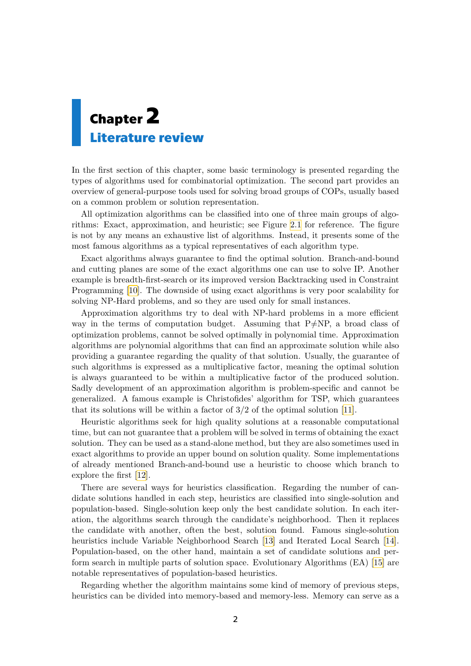# <span id="page-9-1"></span><span id="page-9-0"></span>**Chapter2 Literature review**

In the first section of this chapter, some basic terminology is presented regarding the types of algorithms used for combinatorial optimization. The second part provides an overview of general-purpose tools used for solving broad groups of COPs, usually based on a common problem or solution representation.

All optimization algorithms can be classified into one of three main groups of algorithms: Exact, approximation, and heuristic; see Figure [2.1](#page-10-2) for reference. The figure is not by any means an exhaustive list of algorithms. Instead, it presents some of the most famous algorithms as a typical representatives of each algorithm type.

Exact algorithms always guarantee to find the optimal solution. Branch-and-bound and cutting planes are some of the exact algorithms one can use to solve IP. Another example is breadth-first-search or its improved version Backtracking used in Constraint Programming[[10\]](#page-52-10). The downside of using exact algorithms is very poor scalability for solving NP-Hard problems, and so they are used only for small instances.

Approximation algorithms try to deal with NP-hard problems in a more efficient way in the terms of computation budget. Assuming that P≠NP, a broad class of optimization problems, cannot be solved optimally in polynomial time. Approximation algorithms are polynomial algorithms that can find an approximate solution while also providing a guarantee regarding the quality of that solution. Usually, the guarantee of such algorithms is expressed as a multiplicative factor, meaning the optimal solution is always guaranteed to be within a multiplicative factor of the produced solution. Sadly development of an approximation algorithm is problem-specific and cannot be generalized. A famous example is Christofides' algorithm for TSP, which guarantees that its solutions will be within a factor of  $3/2$  of the optimal solution [\[11](#page-52-11)].

Heuristic algorithms seek for high quality solutions at a reasonable computational time, but can not guarantee that a problem will be solved in terms of obtaining the exact solution. They can be used as a stand-alone method, but they are also sometimes used in exact algorithms to provide an upper bound on solution quality. Some implementations of already mentioned Branch-and-bound use a heuristic to choose which branch to explore the first [\[12](#page-52-12)].

There are several ways for heuristics classification. Regarding the number of candidate solutions handled in each step, heuristics are classified into single-solution and population-based. Single-solution keep only the best candidate solution. In each iteration, the algorithms search through the candidate's neighborhood. Then it replaces the candidate with another, often the best, solution found. Famous single-solution heuristics include Variable Neighborhood Search [\[13](#page-53-0)] and Iterated Local Search[[14](#page-53-1)]. Population-based, on the other hand, maintain a set of candidate solutions and perform search in multiple parts of solution space. Evolutionary Algorithms (EA) [\[15](#page-53-2)] are notable representatives of population-based heuristics.

Regarding whether the algorithm maintains some kind of memory of previous steps, heuristics can be divided into memory-based and memory-less. Memory can serve as a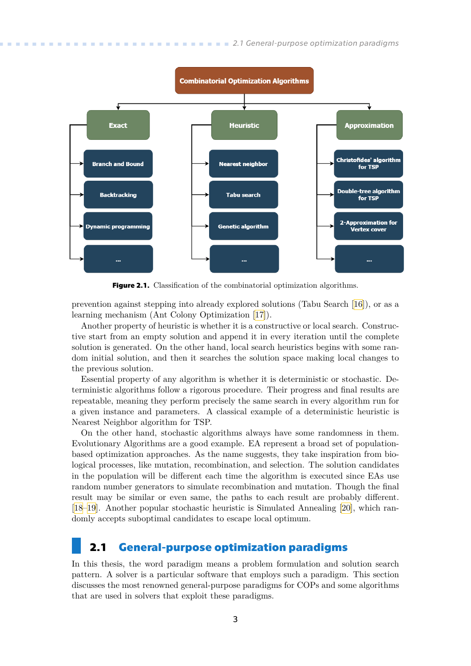<span id="page-10-1"></span>

<span id="page-10-2"></span>**Figure 2.1.** Classification of the combinatorial optimization algorithms.

prevention against stepping into already explored solutions (Tabu Search [\[16](#page-53-3)]), or as a learning mechanism (Ant Colony Optimization [\[17](#page-53-4)]).

Another property of heuristic is whether it is a constructive or local search. Constructive start from an empty solution and append it in every iteration until the complete solution is generated. On the other hand, local search heuristics begins with some random initial solution, and then it searches the solution space making local changes to the previous solution.

Essential property of any algorithm is whether it is deterministic or stochastic. Deterministic algorithms follow a rigorous procedure. Their progress and final results are repeatable, meaning they perform precisely the same search in every algorithm run for a given instance and parameters. A classical example of a deterministic heuristic is Nearest Neighbor algorithm for TSP.

On the other hand, stochastic algorithms always have some randomness in them. Evolutionary Algorithms are a good example. EA represent a broad set of populationbased optimization approaches. As the name suggests, they take inspiration from biological processes, like mutation, recombination, and selection. The solution candidates in the population will be different each time the algorithm is executed since EAs use random number generators to simulate recombination and mutation. Though the final result may be similar or even same, the paths to each result are probably different. [[18–](#page-53-5)[19](#page-53-6)]. Another popular stochastic heuristic is Simulated Annealing [\[20](#page-53-7)], which randomly accepts suboptimal candidates to escape local optimum.

### <span id="page-10-0"></span>**2.1 General-purpose optimization paradigms**

In this thesis, the word paradigm means a problem formulation and solution search pattern. A solver is a particular software that employs such a paradigm. This section discusses the most renowned general-purpose paradigms for COPs and some algorithms that are used in solvers that exploit these paradigms.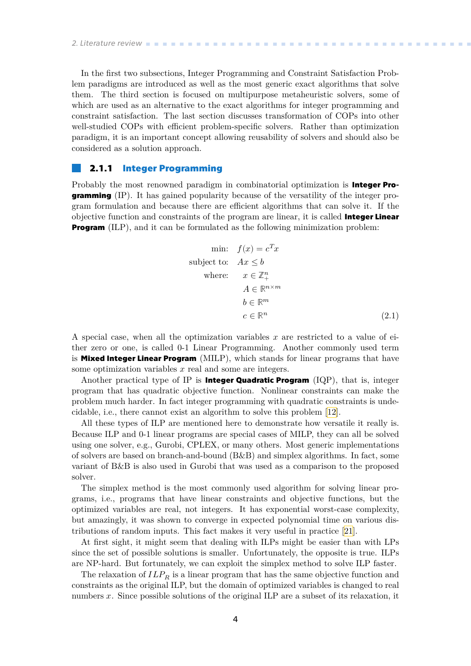<span id="page-11-1"></span>In the first two subsections, Integer Programming and Constraint Satisfaction Problem paradigms are introduced as well as the most generic exact algorithms that solve them. The third section is focused on multipurpose metaheuristic solvers, some of which are used as an alternative to the exact algorithms for integer programming and constraint satisfaction. The last section discusses transformation of COPs into other well-studied COPs with efficient problem-specific solvers. Rather than optimization paradigm, it is an important concept allowing reusability of solvers and should also be considered as a solution approach.

### <span id="page-11-0"></span>**2.1.1 Integer Programming**

Probably the most renowned paradigm in combinatorial optimization is **Integer Programming** (IP). It has gained popularity because of the versatility of the integer program formulation and because there are efficient algorithms that can solve it. If the objective function and constraints of the program are linear, it is called **Integer Linear Program** (ILP), and it can be formulated as the following minimization problem:

min: 
$$
f(x) = c^T x
$$
  
\nsubject to:  $Ax \leq b$   
\nwhere:  $x \in \mathbb{Z}_+^n$   
\n $A \in \mathbb{R}^{n \times m}$   
\n $b \in \mathbb{R}^m$   
\n $c \in \mathbb{R}^n$  (2.1)

A special case, when all the optimization variables  $x$  are restricted to a value of either zero or one, is called 0-1 Linear Programming. Another commonly used term is **Mixed Integer Linear Program** (MILP), which stands for linear programs that have some optimization variables  $x$  real and some are integers.

Another practical type of IP is **Integer Quadratic Program** (IQP), that is, integer program that has quadratic objective function. Nonlinear constraints can make the problem much harder. In fact integer programming with quadratic constraints is undecidable, i.e., there cannot exist an algorithm to solve this problem[[12\]](#page-52-12).

All these types of ILP are mentioned here to demonstrate how versatile it really is. Because ILP and 0-1 linear programs are special cases of MILP, they can all be solved using one solver, e.g., Gurobi, CPLEX, or many others. Most generic implementations of solvers are based on branch-and-bound (B&B) and simplex algorithms. In fact, some variant of B&B is also used in Gurobi that was used as a comparison to the proposed solver.

The simplex method is the most commonly used algorithm for solving linear programs, i.e., programs that have linear constraints and objective functions, but the optimized variables are real, not integers. It has exponential worst-case complexity, but amazingly, it was shown to converge in expected polynomial time on various distributions of random inputs. This fact makes it very useful in practice [\[21](#page-53-8)].

At first sight, it might seem that dealing with ILPs might be easier than with LPs since the set of possible solutions is smaller. Unfortunately, the opposite is true. ILPs are NP-hard. But fortunately, we can exploit the simplex method to solve ILP faster.

The relaxation of  $ILP_R$  is a linear program that has the same objective function and constraints as the original ILP, but the domain of optimized variables is changed to real numbers  $x$ . Since possible solutions of the original ILP are a subset of its relaxation, it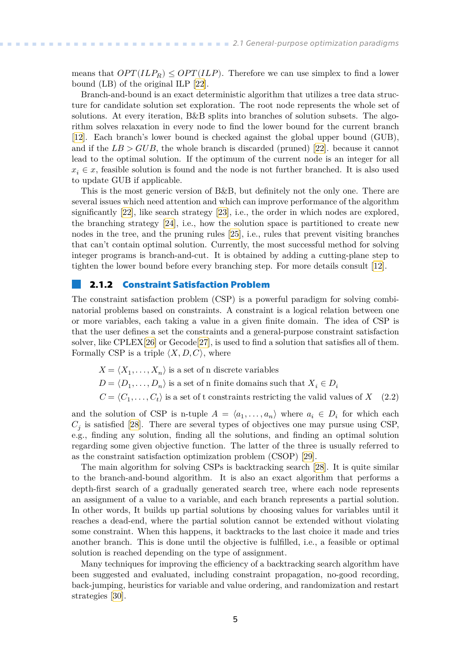<span id="page-12-1"></span>means that  $OPT(ILP_R) \leq OPT(ILP)$ . Therefore we can use simplex to find a lower bound (LB) of the original ILP [\[22](#page-53-9)].

Branch-and-bound is an exact deterministic algorithm that utilizes a tree data structure for candidate solution set exploration. The root node represents the whole set of solutions. At every iteration, B&B splits into branches of solution subsets. The algorithm solves relaxation in every node to find the lower bound for the current branch [[12\]](#page-52-12). Each branch's lower bound is checked against the global upper bound (GUB), andif the  $LB > GUB$ , the whole branch is discarded (pruned) [[22\]](#page-53-9). because it cannot lead to the optimal solution. If the optimum of the current node is an integer for all  $x_i \in \mathcal{X}$ , feasible solution is found and the node is not further branched. It is also used to update GUB if applicable.

This is the most generic version of B&B, but definitely not the only one. There are several issues which need attention and which can improve performance of the algorithm significantly [\[22](#page-53-9)], like search strategy[[23\]](#page-53-10), i.e., the order in which nodes are explored, the branching strategy[[24\]](#page-53-11), i.e., how the solution space is partitioned to create new nodes in the tree, and the pruning rules [\[25](#page-53-12)], i.e., rules that prevent visiting branches that can't contain optimal solution. Currently, the most successful method for solving integer programs is branch-and-cut. It is obtained by adding a cutting-plane step to tighten the lower bound before every branching step. For more details consult [\[12](#page-52-12)].

### <span id="page-12-0"></span>**2.1.2 Constraint Satisfaction Problem**

The constraint satisfaction problem (CSP) is a powerful paradigm for solving combinatorial problems based on constraints. A constraint is a logical relation between one or more variables, each taking a value in a given finite domain. The idea of CSP is that the user defines a set the constraints and a general-purpose constraint satisfaction solver, like CPLEX[\[26](#page-53-13)] or Gecode[[27\]](#page-53-14), is used to find a solution that satisfies all of them. Formally CSP is a triple  $\langle X, D, C \rangle$ , where

- $X = \langle X_1, \ldots, X_n \rangle$  is a set of n discrete variables
- $D = \langle D_1, \ldots, D_n \rangle$  is a set of n finite domains such that  $X_i \in D_i$
- $C = \langle C_1, \ldots, C_t \rangle$  is a set of t constraints restricting the valid values of  $X$  (2.2)

and the solution of CSP is n-tuple  $A = \langle a_1, \ldots, a_n \rangle$  where  $a_i \in D_i$  for which each  $C_j$ is satisfied [[28\]](#page-53-15). There are several types of objectives one may pursue using CSP, e.g., finding any solution, finding all the solutions, and finding an optimal solution regarding some given objective function. The latter of the three is usually referred to as the constraint satisfaction optimization problem (CSOP) [\[29\]](#page-53-16).

The main algorithm for solving CSPs is backtracking search[[28\]](#page-53-15). It is quite similar to the branch-and-bound algorithm. It is also an exact algorithm that performs a depth-first search of a gradually generated search tree, where each node represents an assignment of a value to a variable, and each branch represents a partial solution. In other words, It builds up partial solutions by choosing values for variables until it reaches a dead-end, where the partial solution cannot be extended without violating some constraint. When this happens, it backtracks to the last choice it made and tries another branch. This is done until the objective is fulfilled, i.e., a feasible or optimal solution is reached depending on the type of assignment.

Many techniques for improving the efficiency of a backtracking search algorithm have been suggested and evaluated, including constraint propagation, no-good recording, back-jumping, heuristics for variable and value ordering, and randomization and restart strategies[[30\]](#page-53-17).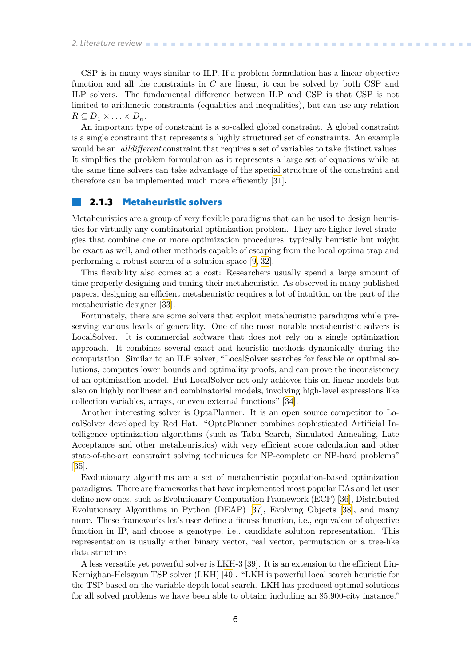<span id="page-13-1"></span>CSP is in many ways similar to ILP. If a problem formulation has a linear objective function and all the constraints in  $C$  are linear, it can be solved by both CSP and ILP solvers. The fundamental difference between ILP and CSP is that CSP is not limited to arithmetic constraints (equalities and inequalities), but can use any relation  $R \subseteq D_1 \times \ldots \times D_n$ .

An important type of constraint is a so-called global constraint. A global constraint is a single constraint that represents a highly structured set of constraints. An example would be an *alldifferent* constraint that requires a set of variables to take distinct values. It simplifies the problem formulation as it represents a large set of equations while at the same time solvers can take advantage of the special structure of the constraint and therefore can be implemented much more efficiently[[31\]](#page-54-0).

### <span id="page-13-0"></span>**2.1.3 Metaheuristic solvers**

Metaheuristics are a group of very flexible paradigms that can be used to design heuristics for virtually any combinatorial optimization problem. They are higher-level strategies that combine one or more optimization procedures, typically heuristic but might be exact as well, and other methods capable of escaping from the local optima trap and performing a robust search of a solution space[[9](#page-52-9), [32](#page-54-1)].

This flexibility also comes at a cost: Researchers usually spend a large amount of time properly designing and tuning their metaheuristic. As observed in many published papers, designing an efficient metaheuristic requires a lot of intuition on the part of the metaheuristic designer[[33\]](#page-54-2).

Fortunately, there are some solvers that exploit metaheuristic paradigms while preserving various levels of generality. One of the most notable metaheuristic solvers is LocalSolver. It is commercial software that does not rely on a single optimization approach. It combines several exact and heuristic methods dynamically during the computation. Similar to an ILP solver, "LocalSolver searches for feasible or optimal solutions, computes lower bounds and optimality proofs, and can prove the inconsistency of an optimization model. But LocalSolver not only achieves this on linear models but also on highly nonlinear and combinatorial models, involving high-level expressions like collection variables, arrays, or even external functions" [\[34](#page-54-3)].

Another interesting solver is OptaPlanner. It is an open source competitor to LocalSolver developed by Red Hat. "OptaPlanner combines sophisticated Artificial Intelligence optimization algorithms (such as Tabu Search, Simulated Annealing, Late Acceptance and other metaheuristics) with very efficient score calculation and other state-of-the-art constraint solving techniques for NP-complete or NP-hard problems" [[35\]](#page-54-4).

Evolutionary algorithms are a set of metaheuristic population-based optimization paradigms. There are frameworks that have implemented most popular EAs and let user define new ones, such as Evolutionary Computation Framework (ECF)[[36\]](#page-54-5), Distributed Evolutionary Algorithms in Python (DEAP)[[37\]](#page-54-6), Evolving Objects [\[38](#page-54-7)], and many more. These frameworks let's user define a fitness function, i.e., equivalent of objective function in IP, and choose a genotype, i.e., candidate solution representation. This representation is usually either binary vector, real vector, permutation or a tree-like data structure.

A less versatile yet powerful solver is LKH-3 [\[39](#page-54-8)]. It is an extension to the efficient Lin-Kernighan-Helsgaun TSP solver (LKH) [\[40](#page-54-9)]. "LKH is powerful local search heuristic for the TSP based on the variable depth local search. LKH has produced optimal solutions for all solved problems we have been able to obtain; including an 85,900-city instance."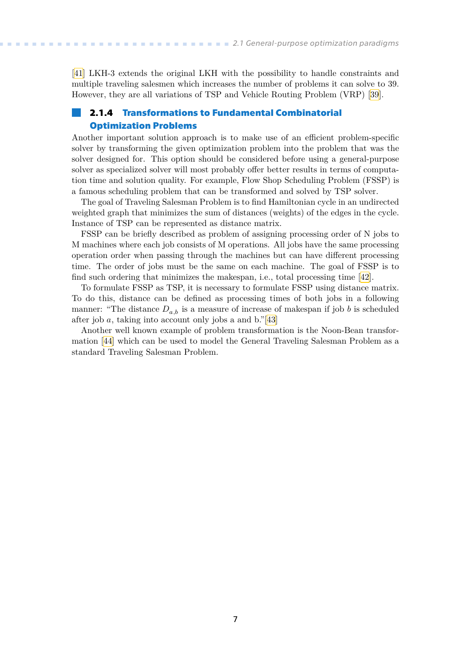<span id="page-14-1"></span>[[41\]](#page-54-10) LKH-3 extends the original LKH with the possibility to handle constraints and multiple traveling salesmen which increases the number of problems it can solve to 39. However, they are all variations of TSP and Vehicle Routing Problem (VRP) [\[39](#page-54-8)].

### <span id="page-14-0"></span>**2.1.4 Transformations to Fundamental Combinatorial Optimization Problems**

Another important solution approach is to make use of an efficient problem-specific solver by transforming the given optimization problem into the problem that was the solver designed for. This option should be considered before using a general-purpose solver as specialized solver will most probably offer better results in terms of computation time and solution quality. For example, Flow Shop Scheduling Problem (FSSP) is a famous scheduling problem that can be transformed and solved by TSP solver.

The goal of Traveling Salesman Problem is to find Hamiltonian cycle in an undirected weighted graph that minimizes the sum of distances (weights) of the edges in the cycle. Instance of TSP can be represented as distance matrix.

FSSP can be briefly described as problem of assigning processing order of N jobs to M machines where each job consists of M operations. All jobs have the same processing operation order when passing through the machines but can have different processing time. The order of jobs must be the same on each machine. The goal of FSSP is to find such ordering that minimizes the makespan, i.e., total processing time[[42\]](#page-54-11).

To formulate FSSP as TSP, it is necessary to formulate FSSP using distance matrix. To do this, distance can be defined as processing times of both jobs in a following manner: "The distance  $D_{a,b}$  is a measure of increase of makespan if job *b* is scheduled after job  $a$ , taking into account only jobs a and b."[\[43](#page-54-12)]

Another well known example of problem transformation is the Noon-Bean transformation[[44\]](#page-54-13) which can be used to model the General Traveling Salesman Problem as a standard Traveling Salesman Problem.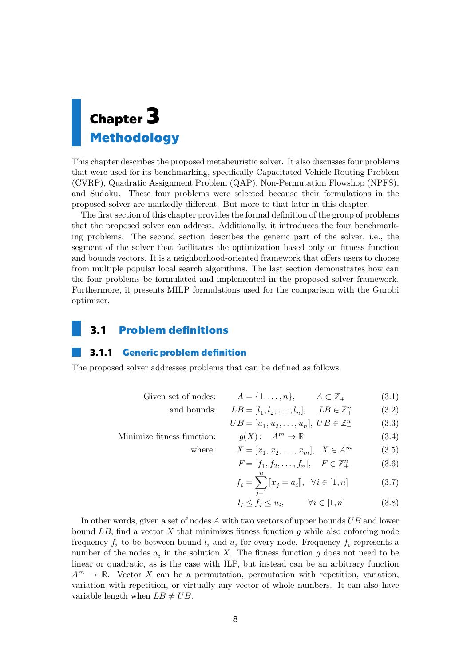# <span id="page-15-1"></span><span id="page-15-0"></span>**Chapter3 Methodology**

This chapter describes the proposed metaheuristic solver. It also discusses four problems that were used for its benchmarking, specifically Capacitated Vehicle Routing Problem (CVRP), Quadratic Assignment Problem (QAP), Non-Permutation Flowshop (NPFS), and Sudoku. These four problems were selected because their formulations in the proposed solver are markedly different. But more to that later in this chapter.

The first section of this chapter provides the formal definition of the group of problems that the proposed solver can address. Additionally, it introduces the four benchmarking problems. The second section describes the generic part of the solver, i.e., the segment of the solver that facilitates the optimization based only on fitness function and bounds vectors. It is a neighborhood-oriented framework that offers users to choose from multiple popular local search algorithms. The last section demonstrates how can the four problems be formulated and implemented in the proposed solver framework. Furthermore, it presents MILP formulations used for the comparison with the Gurobi optimizer.

### <span id="page-15-2"></span>**3.1 Problem definitions**

### <span id="page-15-3"></span>**3.1.1 Generic problem definition**

The proposed solver addresses problems that can be defined as follows:

Given set of nodes:  $A = \{1, ..., n\}, \qquad A \subset \mathbb{Z}_+$  (3.1)

and bounds: 
$$
LB = [l_1, l_2, \dots, l_n], \quad LB \in \mathbb{Z}_+^n
$$
 (3.2)

$$
UB = [u_1, u_2, \dots, u_n], \; UB \in \mathbb{Z}_+^n \tag{3.3}
$$

Minimize fitness function:  $q(X)$ :  $A^m \to \mathbb{R}$  (3.4) where:

$$
X = [x_1, x_2, \dots, x_m], \ \ X \in A^m \tag{3.5}
$$

$$
F = [f_1, f_2, \dots, f_n], \quad F \in \mathbb{Z}_+^n \tag{3.6}
$$

$$
f_i = \sum_{j=1}^{n} [x_j = a_i], \ \forall i \in [1, n]
$$
 (3.7)

<span id="page-15-4"></span>
$$
l_i \le f_i \le u_i, \qquad \forall i \in [1, n] \tag{3.8}
$$

In other words, given a set of nodes  $A$  with two vectors of upper bounds  $UB$  and lower bound  $LB$ , find a vector  $X$  that minimizes fitness function  $g$  while also enforcing node frequency  $f_i$  to be between bound  $l_i$  and  $u_i$  for every node. Frequency  $f_i$  represents a number of the nodes  $a_i$  in the solution X. The fitness function g does not need to be linear or quadratic, as is the case with ILP, but instead can be an arbitrary function  $A^m \to \mathbb{R}$ . Vector X can be a permutation, permutation with repetition, variation, variation with repetition, or virtually any vector of whole numbers. It can also have variable length when  $LB \neq UB$ .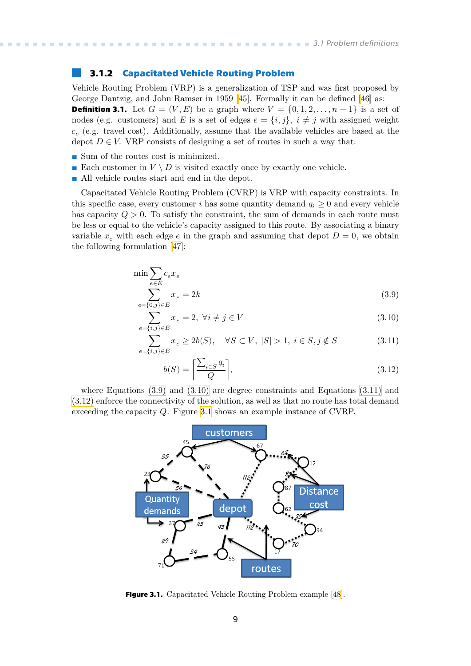### <span id="page-16-1"></span><span id="page-16-0"></span>**3.1.2 Capacitated Vehicle Routing Problem**

Vehicle Routing Problem (VRP) is a generalization of TSP and was first proposed by George Dantzig, and John Ramser in 1959 [\[45](#page-54-14)]. Formally it can be defined [\[46](#page-54-15)] as: **Definition 3.1.** Let  $G = (V, E)$  be a graph where  $V = \{0, 1, 2, ..., n-1\}$  is a set of nodes (e.g. customers) and E is a set of edges  $e = \{i, j\}, i \neq j$  with assigned weight  $c_e$  (e.g. travel cost). Additionally, assume that the available vehicles are based at the depot  $D \in V$ . VRP consists of designing a set of routes in such a way that:

- **.** Sum of the routes cost is minimized.
- $\blacksquare$  Sum of the routes cost is minimized.  $\blacksquare$  <br> Each customer in  $V \setminus D$  is visited exactly once by exactly one vehicle.
- $\blacksquare$  <br> Each customer in  $V\setminus D$  is visited exactly one<br>  $\blacksquare$  <br> All vehicle routes start and end in the depot.

Capacitated Vehicle Routing Problem (CVRP) is VRP with capacity constraints. In this specific case, every customer *i* has some quantity demand  $q_i \geq 0$  and every vehicle has capacity  $Q > 0$ . To satisfy the constraint, the sum of demands in each route must be less or equal to the vehicle's capacity assigned to this route. By associating a binary variable  $x_e$  with each edge  $e$  in the graph and assuming that depot  $D=0$ , we obtain the following formulation [\[47\]](#page-54-16):

$$
\min \sum_{e \in E} c_e x_e
$$
\n
$$
\sum_{e=\{0, j\} \in E} x_e = 2k
$$
\n(3.9)

$$
\sum_{e=\{i,j\}\in E} x_e = 2, \ \forall i \neq j \in V \tag{3.10}
$$

$$
\sum_{e=\{i,j\}\in E}^{\infty} x_e \ge 2b(S), \quad \forall S \subset V, \ |S| > 1, \ i \in S, j \notin S \tag{3.11}
$$

<span id="page-16-6"></span><span id="page-16-5"></span><span id="page-16-4"></span><span id="page-16-3"></span>
$$
b(S) = \left\lceil \frac{\sum_{i \in S} q_i}{Q} \right\rceil,\tag{3.12}
$$

where Equations [\(3.9\)](#page-16-3) and [\(3.10\)](#page-16-4) are degree constraints and Equations [\(3.11\)](#page-16-5) and [\(3.12\)](#page-16-6) enforce the connectivity of the solution, as well as that no route has total demand exceeding the capacity  $Q$ . Figure [3.1](#page-16-2) shows an example instance of CVRP.



<span id="page-16-2"></span>**Figure 3.1.** Capacitated Vehicle Routing Problem example [\[48\]](#page-54-17).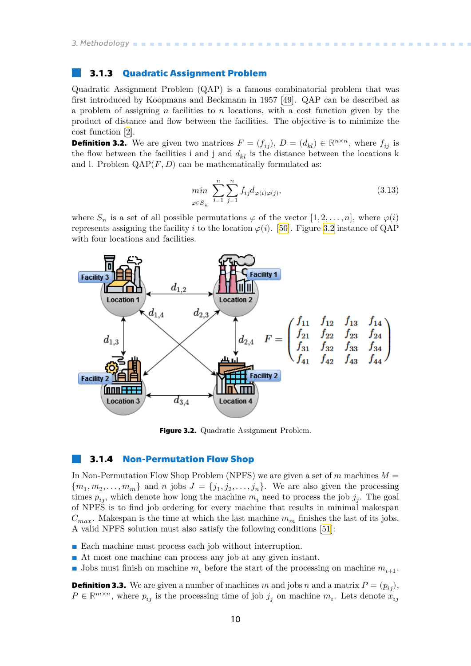### <span id="page-17-1"></span><span id="page-17-0"></span>**3.1.3 Quadratic Assignment Problem**

Quadratic Assignment Problem (QAP) is a famous combinatorial problem that was first introduced by Koopmans and Beckmann in 1957[[49\]](#page-55-0). QAP can be described as a problem of assigning  $n$  facilities to  $n$  locations, with a cost function given by the product of distance and flow between the facilities. The objective is to minimize the cost function [\[2\]](#page-52-2).

**Definition 3.2.** We are given two matrices  $F = (f_{ij}), D = (d_{kl}) \in \mathbb{R}^{n \times n}$ , where  $f_{ij}$  is the flow between the facilities i and j and  $d_{kl}$  is the distance between the locations k and l. Problem  $QAP(F, D)$  can be mathematically formulated as:

$$
\min_{\varphi \in S_n} \sum_{i=1}^n \sum_{j=1}^n f_{ij} d_{\varphi(i)\varphi(j)},\tag{3.13}
$$

where  $S_n$  is a set of all possible permutations  $\varphi$  of the vector  $[1, 2, \ldots, n]$ , where  $\varphi(i)$ representsassigning the facility *i* to the location  $\varphi(i)$ . [[50\]](#page-55-1). Figure [3.2](#page-17-3) instance of QAP with four locations and facilities.



<span id="page-17-3"></span><span id="page-17-2"></span>**Figure 3.2.** Quadratic Assignment Problem.

### **3.1.4 Non-Permutation Flow Shop**

In Non-Permutation Flow Shop Problem (NPFS) we are given a set of  $m$  machines  $M =$  ${m_1, m_2, \ldots, m_m}$  and *n* jobs  $J = {j_1, j_2, \ldots, j_n}$ . We are also given the processing times  $p_{ij}$ , which denote how long the machine  $m_i$  need to process the job  $j_j$ . The goal of NPFS is to find job ordering for every machine that results in minimal makespan  $C_{max}$ . Makespan is the time at which the last machine  $m_m$  finishes the last of its jobs. A valid NPFS solution must also satisfy the following conditions [\[51](#page-55-2)]:

- Each machine must process each job without interruption.
- **.** At most one machine can process any job at any given instant.
- **Jobs** must finish on machine  $m_i$  before the start of the processing on machine  $m_{i+1}$ .

**Definition 3.3.** We are given a number of machines m and jobs n and a matrix  $P = (p_{ij})$ ,  $P \in \mathbb{R}^{m \times n}$ , where  $p_{ij}$  is the processing time of job  $j_j$  on machine  $m_i$ . Lets denote  $x_{ij}$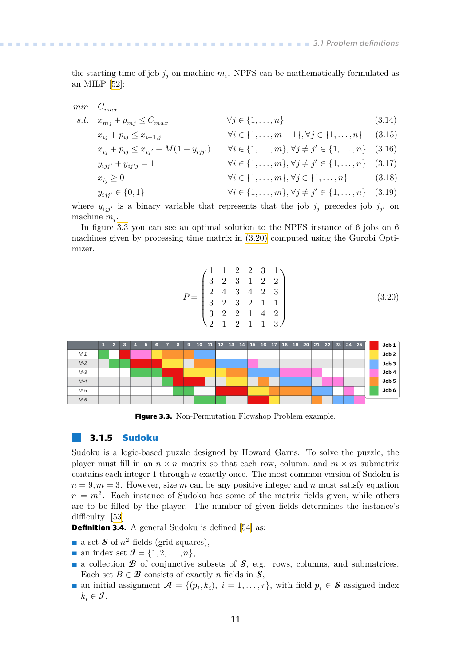<span id="page-18-1"></span>the starting time of job  $j_j$  on machine  $m_i$ . NPFS can be mathematically formulated as an MILP[[52\]](#page-55-3):

$$
min \quad C_{max}
$$

$$
s.t. \quad x_{mj} + p_{mj} \le C_{max} \qquad \forall j \in \{1, \dots, n\} \tag{3.14}
$$
\n
$$
x_{i+1} + p_{j} \le T_{i+1} \qquad \forall j \in \{1, \dots, n\} \qquad \forall j \in \{1, \dots, n\} \tag{3.15}
$$

$$
x_{ij} + p_{ij} \le x_{i+1,j} \qquad \forall i \in \{1, ..., m-1\}, \forall j \in \{1, ..., n\} \qquad (3.16)
$$
  

$$
x_{ij} + p_{ij} \le x_{ij'} + M(1 - y_{ijj'}) \qquad \forall i \in \{1, ..., m\}, \forall j \ne j' \in \{1, ..., n\} \qquad (3.16)
$$

$$
y_{ijj'} + y_{ij'j} = 1 \qquad \forall i \in \{1, ..., m\}, \forall j \neq j' \in \{1, ..., n\} \quad (3.17)
$$
  

$$
x_{ij} \ge 0 \qquad \forall i \in \{1, ..., m\}, \forall j \in \{1, ..., n\} \quad (3.18)
$$

$$
y_{ijj'} \in \{0, 1\} \qquad \forall i \in \{1, ..., m\}, \forall j \neq j' \in \{1, ..., n\} \quad (3.19)
$$

where  $y_{ijj'}$  is a binary variable that represents that the job  $j_j$  precedes job  $j_{j'}$  on machine  $m_i$ .

In figure [3.3](#page-18-2) you can see an optimal solution to the NPFS instance of 6 jobs on 6 machines given by processing time matrix in [\(3.20\)](#page-18-3) computed using the Gurobi Optimizer.

<span id="page-18-5"></span><span id="page-18-4"></span><span id="page-18-3"></span>
$$
P = \begin{pmatrix} 1 & 1 & 2 & 2 & 3 & 1 \\ 3 & 2 & 3 & 1 & 2 & 2 \\ 2 & 4 & 3 & 4 & 2 & 3 \\ 3 & 2 & 3 & 2 & 1 & 1 \\ 3 & 2 & 2 & 1 & 4 & 2 \\ 2 & 1 & 2 & 1 & 1 & 3 \end{pmatrix}
$$
(3.20)



<span id="page-18-2"></span><span id="page-18-0"></span>**Figure 3.3.** Non-Permutation Flowshop Problem example.

### **3.1.5 Sudoku**

Sudoku is a logic-based puzzle designed by Howard Garns. To solve the puzzle, the player must fill in an  $n \times n$  matrix so that each row, column, and  $m \times m$  submatrix contains each integer 1 through  $n$  exactly once. The most common version of Sudoku is  $n = 9, m = 3$ . However, size m can be any positive integer and n must satisfy equation  $n = m^2$ . Each instance of Sudoku has some of the matrix fields given, while others are to be filled by the player. The number of given fields determines the instance's difficulty.[[53\]](#page-55-4).

**Definition3.4.** A general Sudoku is defined [[54\]](#page-55-5) as:

- **Definition 3.4.** A general Sudoku is<br> **a** set  $S$  of  $n^2$  fields (grid squares),
- **a** an index set  $\mathcal{J} = \{1, 2, \ldots, n\},\$
- **a** a collection  $\mathcal{B}$  of conjunctive subsets of  $\mathcal{S}$ , e.g. rows, columns, and submatrices. Each set  $B \in \mathcal{B}$  consists of exactly *n* fields in  $\mathcal{S}$ , Each set  $B \in \mathcal{B}$  consists of exactly *n* fields in  $\mathcal{S}$ ,<br>
an initial assignment  $\mathcal{A} = \{(p_i, k_i), i = 1, ..., r\}$ , with field  $p_i \in \mathcal{S}$  assigned index
- $k_i \in \mathcal{J}$ .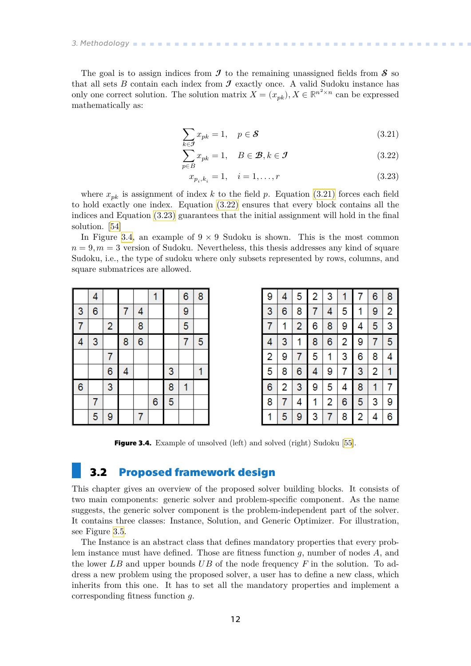# <span id="page-19-1"></span>*3. Methodology* **..........................................**

The goal is to assign indices from  $\mathcal I$  to the remaining unassigned fields from  $\mathcal S$  so that all sets  $B$  contain each index from  $\mathcal I$  exactly once. A valid Sudoku instance has only one correct solution. The solution matrix  $X = (x_{pk}), X \in \mathbb{R}^{n^2 \times n}$  can be expressed mathematically as:

<span id="page-19-3"></span>
$$
\sum_{k \in \mathcal{J}} x_{pk} = 1, \quad p \in \mathcal{S} \tag{3.21}
$$

$$
\sum_{p \in B} x_{pk} = 1, \quad B \in \mathcal{B}, k \in \mathcal{I}
$$
\n(3.22)

$$
x_{p_i, k_i} = 1, \quad i = 1, \dots, r \tag{3.23}
$$

where  $x_{pk}$  is assignment of index k to the field p. Equation [\(3.21\)](#page-19-3) forces each field to hold exactly one index. Equation [\(3.22\)](#page-19-4) ensures that every block contains all the indices and Equation [\(3.23\)](#page-19-5) guarantees that the initial assignment will hold in the final solution. [\[54](#page-55-5)]

In Figure [3.4](#page-19-2), an example of  $9 \times 9$  Sudoku is shown. This is the most common  $n = 9, m = 3$  version of Sudoku. Nevertheless, this thesis addresses any kind of square Sudoku, i.e., the type of sudoku where only subsets represented by rows, columns, and square submatrices are allowed.

|                | 4 |                         |   |   | 1                |   | $\overline{6}$ | 8 |
|----------------|---|-------------------------|---|---|------------------|---|----------------|---|
| 3              | 6 |                         | 7 | 4 |                  |   | 9              |   |
| $\overline{7}$ |   | $\overline{\mathbf{c}}$ |   | 8 |                  |   | 5              |   |
| 4              | 3 |                         | 8 | 6 |                  |   | 7              | 5 |
|                |   | 7                       |   |   |                  |   |                |   |
|                |   | 6                       | 4 |   |                  | 3 |                | 1 |
| 6              |   | 3                       |   |   |                  | 8 | 1              |   |
|                | 7 |                         |   |   | $\boldsymbol{6}$ | 5 |                |   |
|                | 5 | 9                       |   | 7 |                  |   |                |   |

<span id="page-19-5"></span><span id="page-19-4"></span>

| 9 | 4 | 5              | 2 | 3 | 1 | 7 | 6              | 8 |
|---|---|----------------|---|---|---|---|----------------|---|
| 3 | 6 | 8              | 7 | 4 | 5 | 1 | 9              | 2 |
| 7 | 1 | $\overline{c}$ | 6 | 8 | 9 | 4 | 5              | 3 |
| 4 | 3 | 1              | 8 | 6 | 2 | 9 | 7              | 5 |
| 2 | 9 | 7              | 5 | 1 | 3 | 6 | 8              | 4 |
| 5 | 8 | 6              | 4 | 9 | 7 | 3 | $\overline{c}$ | 1 |
| 6 | 2 | 3              | 9 | 5 | 4 | 8 | 1              | 7 |
| 8 | 7 | 4              |   | 2 | 6 | 5 | 3              | 9 |
| 1 | 5 | 9              | 3 | 7 | 8 | 2 | 4              | 6 |

<span id="page-19-2"></span><span id="page-19-0"></span>**Figure 3.4.** Example of unsolved (left) and solved (right) Sudoku [\[55](#page-55-6)].

### **3.2 Proposed framework design**

This chapter gives an overview of the proposed solver building blocks. It consists of two main components: generic solver and problem-specific component. As the name suggests, the generic solver component is the problem-independent part of the solver. It contains three classes: Instance, Solution, and Generic Optimizer. For illustration, see Figure [3.5.](#page-20-0)

The Instance is an abstract class that defines mandatory properties that every problem instance must have defined. Those are fitness function  $q$ , number of nodes  $A$ , and the lower  $LB$  and upper bounds  $UB$  of the node frequency  $F$  in the solution. To address a new problem using the proposed solver, a user has to define a new class, which inherits from this one. It has to set all the mandatory properties and implement a corresponding fitness function q.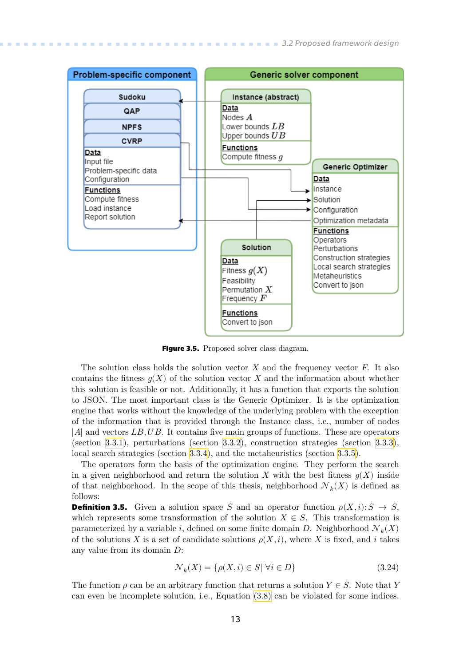<span id="page-20-1"></span>

<span id="page-20-0"></span>**Figure 3.5.** Proposed solver class diagram.

The solution class holds the solution vector  $X$  and the frequency vector  $F$ . It also contains the fitness  $q(X)$  of the solution vector X and the information about whether this solution is feasible or not. Additionally, it has a function that exports the solution to JSON. The most important class is the Generic Optimizer. It is the optimization engine that works without the knowledge of the underlying problem with the exception of the information that is provided through the Instance class, i.e., number of nodes  $|A|$  and vectors LB, UB. It contains five main groups of functions. These are operators (section [3.3.1\)](#page-22-2), perturbations (section [3.3.2](#page-28-0)), construction strategies (section [3.3.3](#page-31-0)), local search strategies (section [3.3.4](#page-32-0)), and the metaheuristics (section [3.3.5](#page-35-0)).

The operators form the basis of the optimization engine. They perform the search in a given neighborhood and return the solution  $X$  with the best fitness  $g(X)$  inside of that neighborhood. In the scope of this thesis, neighborhood  $\mathcal{N}_k(X)$  is defined as follows:

**Definition 3.5.** Given a solution space S and an operator function  $\rho(X, i): S \to S$ , which represents some transformation of the solution  $X \in S$ . This transformation is parameterized by a variable  $i$ , defined on some finite domain  $D$ . Neighborhood  $\mathcal{N}_k(X)$ of the solutions X is a set of candidate solutions  $\rho(X, i)$ , where X is fixed, and i takes any value from its domain  $D$ :

$$
\mathcal{N}_k(X) = \{ \rho(X, i) \in S | \forall i \in D \}
$$
\n
$$
(3.24)
$$

The function  $\rho$  can be an arbitrary function that returns a solution  $Y \in S$ . Note that Y can even be incomplete solution, i.e., Equation [\(3.8\)](#page-15-4) can be violated for some indices.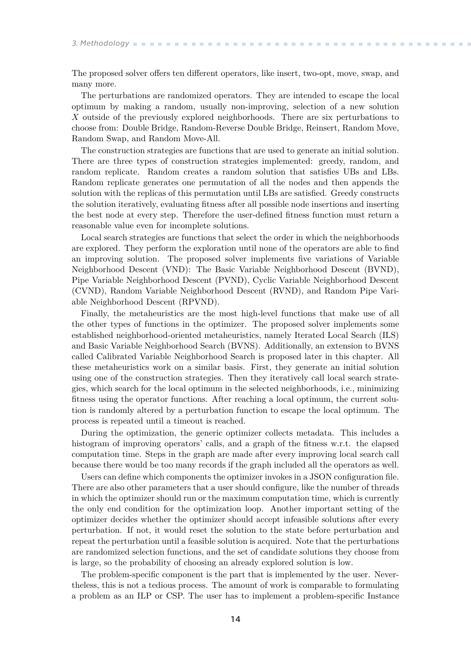The proposed solver offers ten different operators, like insert, two-opt, move, swap, and many more.

The perturbations are randomized operators. They are intended to escape the local optimum by making a random, usually non-improving, selection of a new solution X outside of the previously explored neighborhoods. There are six perturbations to choose from: Double Bridge, Random-Reverse Double Bridge, Reinsert, Random Move, Random Swap, and Random Move-All.

The construction strategies are functions that are used to generate an initial solution. There are three types of construction strategies implemented: greedy, random, and random replicate. Random creates a random solution that satisfies UBs and LBs. Random replicate generates one permutation of all the nodes and then appends the solution with the replicas of this permutation until LBs are satisfied. Greedy constructs the solution iteratively, evaluating fitness after all possible node insertions and inserting the best node at every step. Therefore the user-defined fitness function must return a reasonable value even for incomplete solutions.

Local search strategies are functions that select the order in which the neighborhoods are explored. They perform the exploration until none of the operators are able to find an improving solution. The proposed solver implements five variations of Variable Neighborhood Descent (VND): The Basic Variable Neighborhood Descent (BVND), Pipe Variable Neighborhood Descent (PVND), Cyclic Variable Neighborhood Descent (CVND), Random Variable Neighborhood Descent (RVND), and Random Pipe Variable Neighborhood Descent (RPVND).

Finally, the metaheuristics are the most high-level functions that make use of all the other types of functions in the optimizer. The proposed solver implements some established neighborhood-oriented metaheuristics, namely Iterated Local Search (ILS) and Basic Variable Neighborhood Search (BVNS). Additionally, an extension to BVNS called Calibrated Variable Neighborhood Search is proposed later in this chapter. All these metaheuristics work on a similar basis. First, they generate an initial solution using one of the construction strategies. Then they iteratively call local search strategies, which search for the local optimum in the selected neighborhoods, i.e., minimizing fitness using the operator functions. After reaching a local optimum, the current solution is randomly altered by a perturbation function to escape the local optimum. The process is repeated until a timeout is reached.

During the optimization, the generic optimizer collects metadata. This includes a histogram of improving operators' calls, and a graph of the fitness w.r.t. the elapsed computation time. Steps in the graph are made after every improving local search call because there would be too many records if the graph included all the operators as well.

Users can define which components the optimizer invokes in a JSON configuration file. There are also other parameters that a user should configure, like the number of threads in which the optimizer should run or the maximum computation time, which is currently the only end condition for the optimization loop. Another important setting of the optimizer decides whether the optimizer should accept infeasible solutions after every perturbation. If not, it would reset the solution to the state before perturbation and repeat the perturbation until a feasible solution is acquired. Note that the perturbations are randomized selection functions, and the set of candidate solutions they choose from is large, so the probability of choosing an already explored solution is low.

The problem-specific component is the part that is implemented by the user. Nevertheless, this is not a tedious process. The amount of work is comparable to formulating a problem as an ILP or CSP. The user has to implement a problem-specific Instance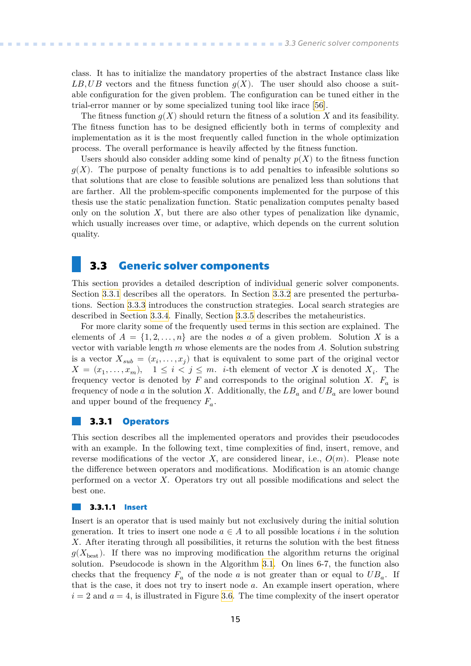<span id="page-22-1"></span>class. It has to initialize the mandatory properties of the abstract Instance class like LB, UB vectors and the fitness function  $q(X)$ . The user should also choose a suitable configuration for the given problem. The configuration can be tuned either in the trial-error manner or by some specialized tuning tool like irace[[56\]](#page-55-7).

The fitness function  $g(X)$  should return the fitness of a solution X and its feasibility. The fitness function has to be designed efficiently both in terms of complexity and implementation as it is the most frequently called function in the whole optimization process. The overall performance is heavily affected by the fitness function.

Users should also consider adding some kind of penalty  $p(X)$  to the fitness function  $q(X)$ . The purpose of penalty functions is to add penalties to infeasible solutions so that solutions that are close to feasible solutions are penalized less than solutions that are farther. All the problem-specific components implemented for the purpose of this thesis use the static penalization function. Static penalization computes penalty based only on the solution  $X$ , but there are also other types of penalization like dynamic, which usually increases over time, or adaptive, which depends on the current solution quality.

### <span id="page-22-0"></span>**3.3 Generic solver components**

This section provides a detailed description of individual generic solver components. Section [3.3.1](#page-22-2) describes all the operators. In Section [3.3.2](#page-28-0) are presented the perturbations. Section [3.3.3](#page-31-0) introduces the construction strategies. Local search strategies are described in Section [3.3.4.](#page-32-0) Finally, Section [3.3.5](#page-35-0) describes the metaheuristics.

For more clarity some of the frequently used terms in this section are explained. The elements of  $A = \{1, 2, ..., n\}$  are the nodes a of a given problem. Solution X is a vector with variable length  $m$  whose elements are the nodes from  $A$ . Solution substring is a vector  $X_{sub} = (x_i, \ldots, x_j)$  that is equivalent to some part of the original vector  $X = (x_1, \ldots, x_m), \quad 1 \leq i < j \leq m.$  *i*-th element of vector X is denoted  $X_i$ . The frequency vector is denoted by  $F$  and corresponds to the original solution X.  $F_a$  is frequency of node *a* in the solution X. Additionally, the  $LB<sub>a</sub>$  and  $UB<sub>a</sub>$  are lower bound and upper bound of the frequency  $F_a$ .

### <span id="page-22-2"></span>**3.3.1 Operators**

This section describes all the implemented operators and provides their pseudocodes with an example. In the following text, time complexities of find, insert, remove, and reverse modifications of the vector X, are considered linear, i.e.,  $O(m)$ . Please note the difference between operators and modifications. Modification is an atomic change performed on a vector  $X$ . Operators try out all possible modifications and select the best one.

#### **3.3.1.1 Insert** a a

Insert is an operator that is used mainly but not exclusively during the initial solution generation. It tries to insert one node  $a \in A$  to all possible locations i in the solution . After iterating through all possibilities, it returns the solution with the best fitness  $g(X_{\text{best}})$ . If there was no improving modification the algorithm returns the original solution. Pseudocode is shown in the Algorithm [3.1.](#page-23-0) On lines 6-7, the function also checks that the frequency  $F_a$  of the node a is not greater than or equal to  $UB_a$ . If that is the case, it does not try to insert node  $a$ . An example insert operation, where  $i=2$  and  $a=4$ , is illustrated in Figure [3.6.](#page-23-3) The time complexity of the insert operator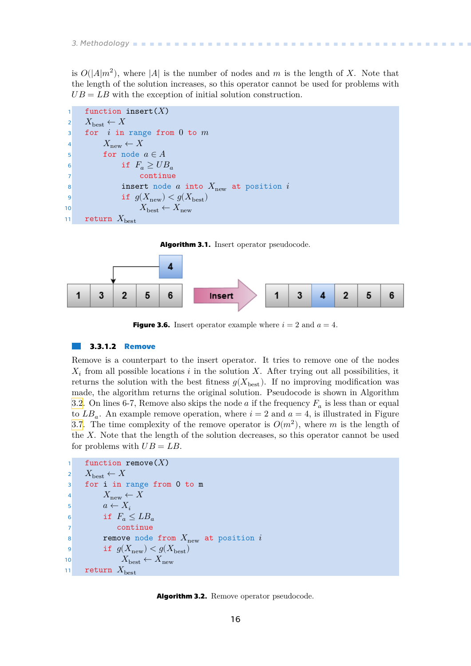<span id="page-23-1"></span>is  $O(|A|m^2)$ , where |A| is the number of nodes and m is the length of X. Note that the length of the solution increases, so this operator cannot be used for problems with  $UB = LB$  with the exception of initial solution construction.

```
function insert(X)2 X_{\text{best}} \leftarrow X3 for i in range from 0 to m4 X_{\text{new}} \leftarrow X5 for node a \in A6 if F_a \geq UB_a7 continue
8 insert node a into X_{\text{new}} at position i9 if g(X_{\text{new}}) < g(X_{\text{best}})10 X_{\text{best}} \leftarrow X_{\text{new}}11 return X_{\text{best}}
```
<span id="page-23-0"></span>



<span id="page-23-3"></span>**Figure 3.6.** Insert operator example where  $i = 2$  and  $a = 4$ .

#### **3.3.1.2 Remove**

Remove is a counterpart to the insert operator. It tries to remove one of the nodes  $X_i$  from all possible locations *i* in the solution X. After trying out all possibilities, it returns the solution with the best fitness  $g(X_{\text{best}})$ . If no improving modification was made, the algorithm returns the original solution. Pseudocode is shown in Algorithm [3.2.](#page-23-2) On lines 6-7, Remove also skips the node  $a$  if the frequency  $F_a$  is less than or equal to  $LB_a$ . An example remove operation, where  $i = 2$  and  $a = 4$ , is illustrated in Figure [3.7.](#page-24-2) The time complexity of the remove operator is  $O(m^2)$ , where m is the length of the  $X$ . Note that the length of the solution decreases, so this operator cannot be used for problems with  $UB = LB$ .

```
function remove (X)2 X_{\text{best}} \leftarrow X3 for i in range from 0 to m
4 X_{\text{new}} \leftarrow X5 a \leftarrow X_i6 if F_a \leq LB_a7 continue
8 remove node from X_{\text{new}} at position i9 if g(X_{\text{new}}) < g(X_{\text{best}})10 X_{\text{best}} \leftarrow X_{\text{new}}11 return X_{\text{best}}
```
<span id="page-23-2"></span>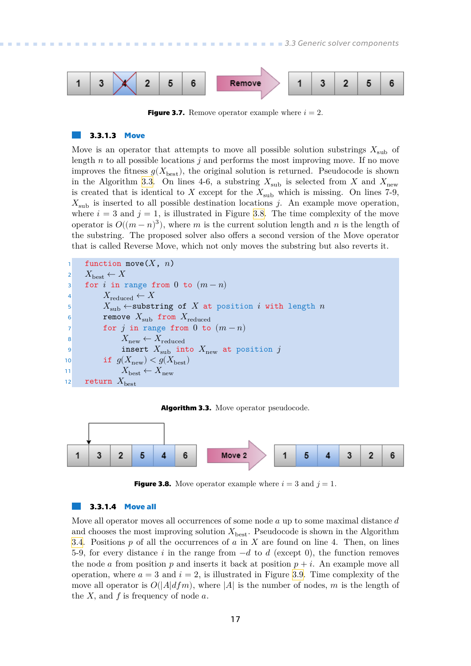<span id="page-24-1"></span>

<span id="page-24-2"></span>**Figure 3.7.** Remove operator example where  $i = 2$ .

### **3.3.1.3 Move**

Move is an operator that attempts to move all possible solution substrings  $X_{sub}$  of length  $n$  to all possible locations  $j$  and performs the most improving move. If no move improves the fitness  $g(X_{\text{best}})$ , the original solution is returned. Pseudocode is shown in the Algorithm [3.3](#page-24-0). On lines 4-6, a substring  $X_{sub}$  is selected from X and  $X_{new}$ is created that is identical to X except for the  $X_{sub}$  which is missing. On lines 7-9,  $X_{sub}$  is inserted to all possible destination locations j. An example move operation, where  $i = 3$  and  $j = 1$ , is illustrated in Figure [3.8](#page-24-3). The time complexity of the move operator is  $O((m - n)^3)$ , where m is the current solution length and n is the length of the substring. The proposed solver also offers a second version of the Move operator that is called Reverse Move, which not only moves the substring but also reverts it.

```
function move(X, n)2 X_{\text{best}} \leftarrow X3 for i in range from 0 to (m - n)4 X_{\text{reduced}} \leftarrow X5 X_{sub} \leftarrowsubstring of X at position i with length n
6 remove X_{sub} from X_{reduced}7 for j in range from 0 to (m-n)8 X_{\text{new}} \leftarrow X_{\text{reduced}}9 insert X_{\text{sub}} into X_{\text{new}} at position j10 if g(X_{\text{new}}) < g(X_{\text{best}})11 X_{\text{best}} \leftarrow X_{\text{new}}12 return X_{\text{best}}
```
<span id="page-24-0"></span>



<span id="page-24-3"></span>**Figure 3.8.** Move operator example where  $i = 3$  and  $j = 1$ .

### **3.3.1.4 Move all**

Move all operator moves all occurrences of some node  $a$  up to some maximal distance  $d$ and chooses the most improving solution  $X_{\text{best}}$ . Pseudocode is shown in the Algorithm [3.4.](#page-25-0) Positions  $p$  of all the occurrences of  $a$  in  $X$  are found on line 4. Then, on lines 5-9, for every distance *i* in the range from  $-d$  to  $d$  (except 0), the function removes the node *a* from position *p* and inserts it back at position  $p + i$ . An example move all operation, where  $a = 3$  and  $i = 2$ , is illustrated in Figure [3.9.](#page-25-2) Time complexity of the move all operator is  $O(|A|dfm)$ , where |A| is the number of nodes, m is the length of the  $X$ , and  $f$  is frequency of node  $a$ .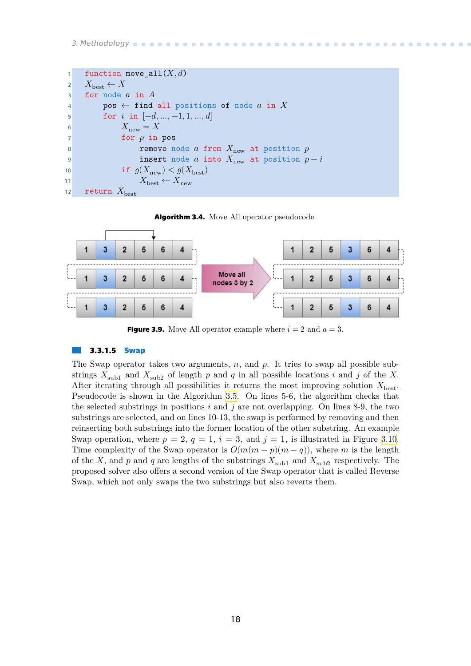# <span id="page-25-1"></span>*3. Methodology* **..........................................**

```
1 function move_all(X, d)2 X_{\text{best}} \leftarrow X3 for node a in A4 pos \leftarrow find all positions of node a in X
5 for i in [-d, ..., -1, 1, ..., d]6 X_{\text{new}} = X7 for p in pos
8 remove node a from X_{\text{new}} at position p9 insert node a into X_{new} at position p + i10 if g(X_{\text{new}}) < g(X_{\text{best}})11 X_{\text{best}} \leftarrow X_{\text{new}}12 return X_{\text{best}}
```
<span id="page-25-0"></span>



<span id="page-25-2"></span>**Figure 3.9.** Move All operator example where  $i = 2$  and  $a = 3$ .

### **3.3.1.5 Swap**

The Swap operator takes two arguments,  $n$ , and  $p$ . It tries to swap all possible substrings  $X_{\text{sub1}}$  and  $X_{\text{sub2}}$  of length p and q in all possible locations i and j of the X. After iterating through all possibilities it returns the most improving solution  $X_{\text{best}}$ . Pseudocode is shown in the Algorithm [3.5.](#page-26-0) On lines 5-6, the algorithm checks that the selected substrings in positions  $i$  and  $j$  are not overlapping. On lines 8-9, the two substrings are selected, and on lines 10-13, the swap is performed by removing and then reinserting both substrings into the former location of the other substring. An example Swap operation, where  $p = 2$ ,  $q = 1$ ,  $i = 3$ , and  $j = 1$ , is illustrated in Figure [3.10.](#page-26-3) Time complexity of the Swap operator is  $O(m(m-p)(m-q))$ , where m is the length of the X, and  $p$  and  $q$  are lengths of the substrings  $X_{\text{sub1}}$  and  $X_{\text{sub2}}$  respectively. The proposed solver also offers a second version of the Swap operator that is called Reverse Swap, which not only swaps the two substrings but also reverts them.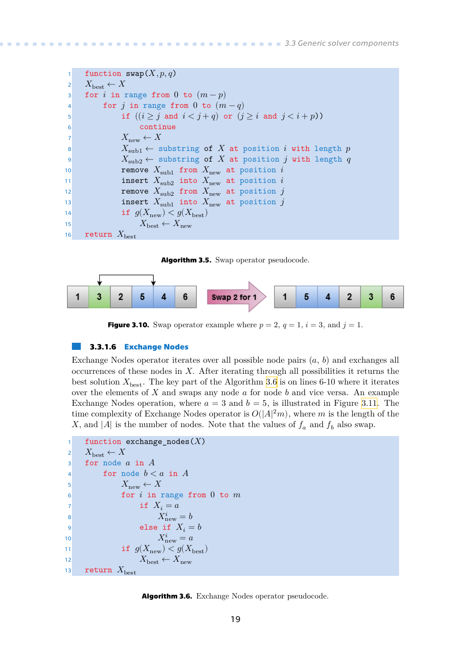```
1 function swap(X, p, q)2 X_{\text{best}} \leftarrow X3 for i in range from 0 to (m-p)4 for j in range from 0 to (m-q)5 if ((i \geq j \text{ and } i < j + q) or (j \geq i \text{ and } j < i + p)6 continue
7 X_{\text{new}} \leftarrow X8 X_{\text{sub1}} \leftarrow substring of X at position i with length p
9 X_{sub2} \leftarrow substring of X at position j with length q
10 remove X_{\text{sub1}} from X_{\text{new}} at position i
11 insert X_{sub2} into X_{new} at position i
12 remove X_{sub2} from X_{new} at position j
13 insert X_{\text{sub1}} into X_{\text{new}} at position j
14 if g(X_{\text{new}}) < g(X_{\text{best}})15 X_{\text{best}} \leftarrow X_{\text{new}}16 return X_{\text{best}}
```
<span id="page-26-0"></span>**Algorithm 3.5.** Swap operator pseudocode.



<span id="page-26-3"></span>**Figure 3.10.** Swap operator example where  $p = 2$ ,  $q = 1$ ,  $i = 3$ , and  $j = 1$ .

### **3.3.1.6 Exchange Nodes**

Exchange Nodes operator iterates over all possible node pairs  $(a, b)$  and exchanges all occurrences of these nodes in  $X$ . After iterating through all possibilities it returns the best solution  $X_{\text{best}}$ . The key part of the Algorithm [3.6](#page-26-2) is on lines 6-10 where it iterates over the elements of  $X$  and swaps any node  $a$  for node  $b$  and vice versa. An example Exchange Nodes operation, where  $a = 3$  and  $b = 5$ , is illustrated in Figure [3.11.](#page-27-2) The time complexity of Exchange Nodes operator is  $O(|A|^2m)$ , where m is the length of the X, and |A| is the number of nodes. Note that the values of  $f_a$  and  $f_b$  also swap.

```
1 function exchange_nodes(X)2 X_{\text{best}} \leftarrow X3 for node a in A4 for node b < a in A
 5 X_{\text{new}} \leftarrow X\begin{array}{ccc} 6 & \cdot & \cdot & \cdot & \cdot \\ 6 & \cdot & \cdot & \cdot & \cdot \\ \end{array} for i in range from 0 to m
 7 if X_i = a8 X_{\text{new}}^i = b9 else if X_i = b10 X_{\text{new}}^i = a11 if g(X_{\text{new}}) < g(X_{\text{best}})12 X_{\text{best}} \leftarrow X_{\text{new}}13 return X_{\text{best}}
```
<span id="page-26-2"></span>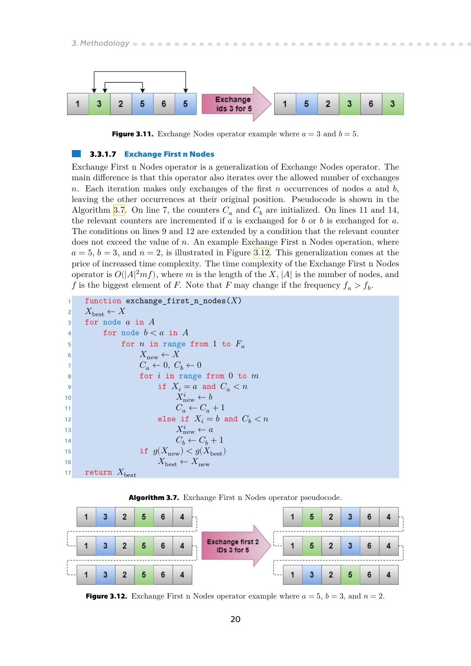<span id="page-27-1"></span>

<span id="page-27-2"></span>**Figure 3.11.** Exchange Nodes operator example where  $a = 3$  and  $b = 5$ .

### **3.3.1.7 Exchange First n Nodes**

Exchange First n Nodes operator is a generalization of Exchange Nodes operator. The main difference is that this operator also iterates over the allowed number of exchanges n. Each iteration makes only exchanges of the first  $n$  occurrences of nodes  $a$  and  $b$ , leaving the other occurrences at their original position. Pseudocode is shown in the Algorithm [3.7.](#page-27-0) On line 7, the counters  $C_a$  and  $C_b$  are initialized. On lines 11 and 14, the relevant counters are incremented if  $a$  is exchanged for  $b$  or  $b$  is exchanged for  $a$ . The conditions on lines 9 and 12 are extended by a condition that the relevant counter does not exceed the value of  $n$ . An example Exchange First n Nodes operation, where  $a = 5, b = 3$ , and  $n = 2$ , is illustrated in Figure [3.12](#page-27-3). This generalization comes at the price of increased time complexity. The time complexity of the Exchange First n Nodes operator is  $O(|A|^2 m f)$ , where m is the length of the X, |A| is the number of nodes, and f is the biggest element of F. Note that F may change if the frequency  $f_a > f_b$ .

```
function exchange_first_n_nodes(X)2 X_{\text{best}} \leftarrow X3 for node a in A4 for node b < a in A
5 for n in range from 1 to F_a6 X_{\text{new}} \leftarrow X7 C_a \leftarrow 0, C_b \leftarrow 08 for i in range from 0 to m9 if X_i = a and C_a < n10 X_{\rm r}^iX_{\text{new}}^i \leftarrow b11 C_a \leftarrow C_a + 112 else if X_i = b and C_b < n13 X_{\rm r}^iX_{\text{new}}^i \leftarrow a14 a C_b \leftarrow C_b + 115 if g(X_{\text{new}}) < g(X_{\text{best}})16 best ← X_{\text{best}} \leftarrow X_{\text{new}}17 return X_{\text{best}}
```
<span id="page-27-0"></span>



<span id="page-27-3"></span>**Figure 3.12.** Exchange First n Nodes operator example where  $a = 5$ ,  $b = 3$ , and  $n = 2$ .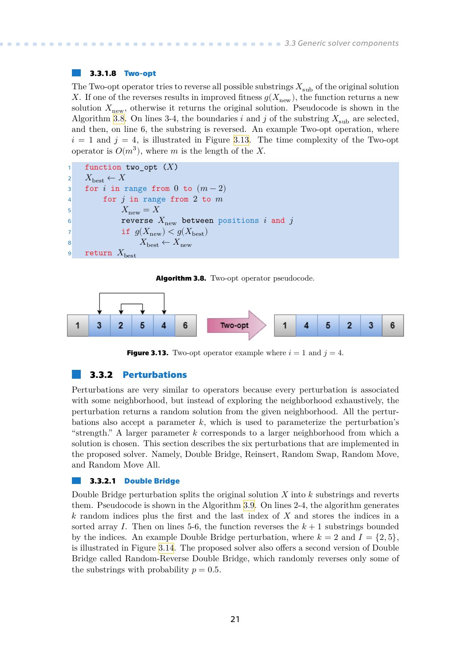### <span id="page-28-1"></span>**3.3.1.8 Two-opt**

The Two-opt operator tries to reverse all possible substrings  $X_{\text{sub}}$  of the original solution X. If one of the reverses results in improved fitness  $g(X_{\text{new}})$ , the function returns a new solution  $X_{\text{new}}$ , otherwise it returns the original solution. Pseudocode is shown in the Algorithm [3.8](#page-28-2). On lines 3-4, the boundaries *i* and *j* of the substring  $X_{\text{sub}}$  are selected, and then, on line 6, the substring is reversed. An example Two-opt operation, where  $i = 1$  and  $j = 4$ , is illustrated in Figure [3.13.](#page-28-3) The time complexity of the Two-opt operator is  $O(m^3)$ , where m is the length of the X.

```
function two_opt (X)2 X_{\text{best}} \leftarrow X3 for i in range from 0 to (m-2)4 for j in range from 2 to m5 X_{\text{new}} = X\epsilon 6 reverse X_{\text{new}} between positions i and j
7 if g(X_{\text{new}}) < g(X_{\text{best}})8 best ← X_{\text{best}} \leftarrow X_{\text{new}}9 return X_{\text{best}}
```
<span id="page-28-2"></span>**Algorithm 3.8.** Two-opt operator pseudocode.



<span id="page-28-3"></span><span id="page-28-0"></span>**Figure 3.13.** Two-opt operator example where  $i = 1$  and  $j = 4$ .

### **3.3.2 Perturbations**

Perturbations are very similar to operators because every perturbation is associated with some neighborhood, but instead of exploring the neighborhood exhaustively, the perturbation returns a random solution from the given neighborhood. All the perturbations also accept a parameter  $k$ , which is used to parameterize the perturbation's "strength." A larger parameter  $k$  corresponds to a larger neighborhood from which a solution is chosen. This section describes the six perturbations that are implemented in the proposed solver. Namely, Double Bridge, Reinsert, Random Swap, Random Move, and Random Move All.

#### **3.3.2.1 Double Bridge**

Double Bridge perturbation splits the original solution  $X$  into  $k$  substrings and reverts them. Pseudocode is shown in the Algorithm [3.9.](#page-29-0) On lines 2-4, the algorithm generates  $k$  random indices plus the first and the last index of  $X$  and stores the indices in a sorted array I. Then on lines 5-6, the function reverses the  $k+1$  substrings bounded by the indices. An example Double Bridge perturbation, where  $k = 2$  and  $I = \{2, 5\}$ , is illustrated in Figure [3.14.](#page-29-3) The proposed solver also offers a second version of Double Bridge called Random-Reverse Double Bridge, which randomly reverses only some of the substrings with probability  $p = 0.5$ .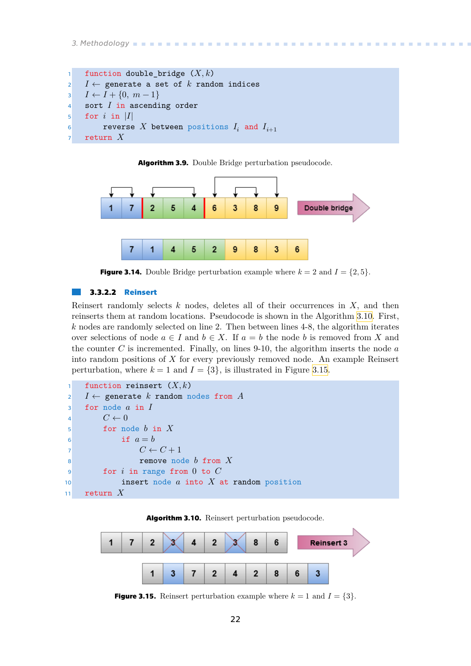# <span id="page-29-1"></span>*3. Methodology* **..........................................**

```
1 function double_bridge (X, k)2  I \leftarrow generate a set of k random indices
\{3\}  I \leftarrow I + \{0, m-1\}4 sort I in ascending order
5 for i in |I|6 reverse X between positions I_i and I_{i+1}7 return X
```
<span id="page-29-0"></span>**Algorithm 3.9.** Double Bridge perturbation pseudocode.



<span id="page-29-3"></span>**Figure 3.14.** Double Bridge perturbation example where  $k = 2$  and  $I = \{2, 5\}.$ 

### **3.3.2.2 Reinsert**

Reinsert randomly selects  $k$  nodes, deletes all of their occurrences in  $X$ , and then reinserts them at random locations. Pseudocode is shown in the Algorithm [3.10.](#page-29-2) First,  $k$  nodes are randomly selected on line 2. Then between lines 4-8, the algorithm iterates over selections of node  $a \in I$  and  $b \in X$ . If  $a = b$  the node b is removed from X and the counter C is incremented. Finally, on lines 9-10, the algorithm inserts the node  $a$ into random positions of  $X$  for every previously removed node. An example Reinsert perturbation, where  $k = 1$  and  $I = \{3\}$ , is illustrated in Figure [3.15.](#page-29-4)



<span id="page-29-2"></span>



<span id="page-29-4"></span>**Figure 3.15.** Reinsert perturbation example where  $k = 1$  and  $I = \{3\}$ .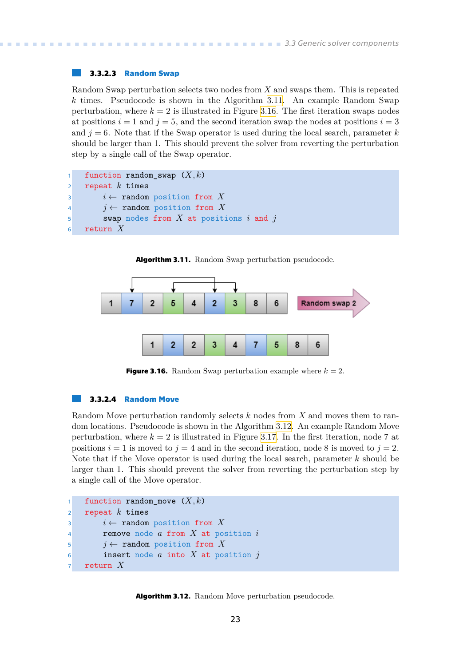### <span id="page-30-1"></span>**3.3.2.3 Random Swap**

Random Swap perturbation selects two nodes from  $X$  and swaps them. This is repeated  $k$  times. Pseudocode is shown in the Algorithm [3.11](#page-30-0). An example Random Swap perturbation, where  $k = 2$  is illustrated in Figure [3.16.](#page-30-3) The first iteration swaps nodes at positions  $i = 1$  and  $j = 5$ , and the second iteration swap the nodes at positions  $i = 3$ and  $j = 6$ . Note that if the Swap operator is used during the local search, parameter k should be larger than 1. This should prevent the solver from reverting the perturbation step by a single call of the Swap operator.

```
1 function random swap (X, k)2 repeat k times
3 i \leftarrow \text{random position from } X4 i \leftarrow random position from X
5 swap nodes from X at positions i and j6 return X
```
<span id="page-30-0"></span>



<span id="page-30-3"></span>**Figure 3.16.** Random Swap perturbation example where  $k = 2$ .

#### **3.3.2.4 Random Move**

Random Move perturbation randomly selects  $k$  nodes from  $X$  and moves them to random locations. Pseudocode is shown in the Algorithm [3.12](#page-30-2). An example Random Move perturbation, where  $k = 2$  is illustrated in Figure [3.17](#page-31-3). In the first iteration, node 7 at positions  $i = 1$  is moved to  $j = 4$  and in the second iteration, node 8 is moved to  $j = 2$ . Note that if the Move operator is used during the local search, parameter  $k$  should be larger than 1. This should prevent the solver from reverting the perturbation step by a single call of the Move operator.

```
1 function random move (X, k)2 repeat k times
3 i \leftarrow \text{random position from } X4 remove node a from X at position i
j \leftarrow \text{random position from } X\mathfrak{g} insert node a into X at position j
7 return X
```
<span id="page-30-2"></span>**Algorithm 3.12.** Random Move perturbation pseudocode.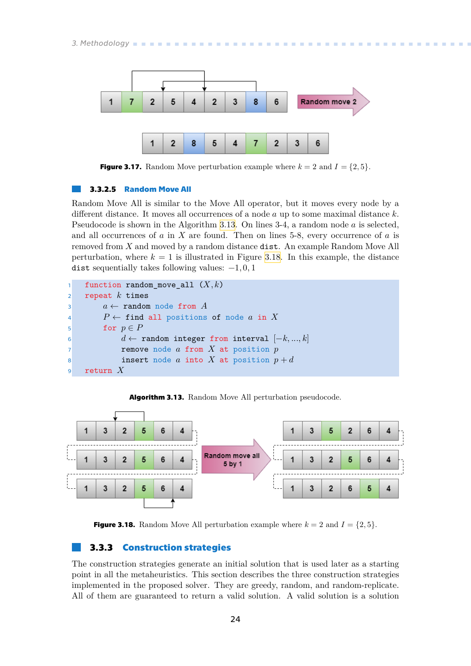<span id="page-31-1"></span>*3. Methodology* **..........................................**



<span id="page-31-3"></span>**Figure 3.17.** Random Move perturbation example where  $k = 2$  and  $I = \{2, 5\}$ .

### **3.3.2.5 Random Move All**

Random Move All is similar to the Move All operator, but it moves every node by a different distance. It moves all occurrences of a node  $a$  up to some maximal distance  $k$ . Pseudocode is shown in the Algorithm [3.13](#page-31-2). On lines  $3-4$ , a random node  $a$  is selected, and all occurrences of  $a$  in  $X$  are found. Then on lines 5-8, every occurrence of  $a$  is removed from  $X$  and moved by a random distance dist. An example Random Move All perturbation, where  $k = 1$  is illustrated in Figure [3.18](#page-31-4). In this example, the distance dist sequentially takes following values:  $-1, 0, 1$ 

```
1 function random move all (X, k)2 repeat k times
3 a \leftarrow \text{random node from } A4 P \leftarrow find all positions of node a in X
5 for p \in P6 a ← random integer from interval [-k, ..., k]7 remove node a from X at position p8 insert node a into X at position p + d9 return X
```
<span id="page-31-2"></span>



<span id="page-31-4"></span><span id="page-31-0"></span>**Figure 3.18.** Random Move All perturbation example where  $k = 2$  and  $I = \{2, 5\}$ .

### **3.3.3 Construction strategies**

The construction strategies generate an initial solution that is used later as a starting point in all the metaheuristics. This section describes the three construction strategies implemented in the proposed solver. They are greedy, random, and random-replicate. All of them are guaranteed to return a valid solution. A valid solution is a solution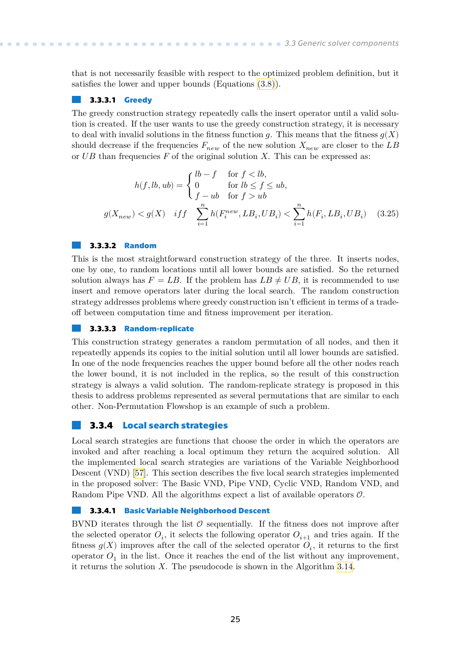<span id="page-32-1"></span>that is not necessarily feasible with respect to the optimized problem definition, but it satisfies the lower and upper bounds (Equations [\(3.8\)\)](#page-15-4).

### **3.3.3.1 Greedy**

The greedy construction strategy repeatedly calls the insert operator until a valid solution is created. If the user wants to use the greedy construction strategy, it is necessary to deal with invalid solutions in the fitness function q. This means that the fitness  $q(X)$ should decrease if the frequencies  $F_{new}$  of the new solution  $X_{new}$  are closer to the LB or  $UB$  than frequencies  $F$  of the original solution  $X$ . This can be expressed as:

$$
h(f, lb, ub) = \begin{cases} lb - f & \text{for } f < lb, \\ 0 & \text{for } lb \le f \le ub, \\ f - ub & \text{for } f > ub \end{cases}
$$

$$
g(X_{new}) < g(X) \quad iff \quad \sum_{i=1}^{n} h(F_i^{new}, LB_i, UB_i) < \sum_{i=1}^{n} h(F_i, LB_i, UB_i) \quad (3.25)
$$

### **3.3.3.2 Random**

This is the most straightforward construction strategy of the three. It inserts nodes, one by one, to random locations until all lower bounds are satisfied. So the returned solution always has  $F = LB$ . If the problem has  $LB \neq UB$ , it is recommended to use insert and remove operators later during the local search. The random construction strategy addresses problems where greedy construction isn't efficient in terms of a tradeoff between computation time and fitness improvement per iteration.

#### **3.3.3.3 Random-replicate**

This construction strategy generates a random permutation of all nodes, and then it repeatedly appends its copies to the initial solution until all lower bounds are satisfied. In one of the node frequencies reaches the upper bound before all the other nodes reach the lower bound, it is not included in the replica, so the result of this construction strategy is always a valid solution. The random-replicate strategy is proposed in this thesis to address problems represented as several permutations that are similar to each other. Non-Permutation Flowshop is an example of such a problem.

### <span id="page-32-0"></span>**3.3.4 Local search strategies**

Local search strategies are functions that choose the order in which the operators are invoked and after reaching a local optimum they return the acquired solution. All the implemented local search strategies are variations of the Variable Neighborhood Descent (VND)[[57\]](#page-55-8). This section describes the five local search strategies implemented in the proposed solver: The Basic VND, Pipe VND, Cyclic VND, Random VND, and Random Pipe VND. All the algorithms expect a list of available operators  $\mathcal{O}$ .

### **3.3.4.1 Basic Variable Neighborhood Descent**

BVND iterates through the list  $\mathcal O$  sequentially. If the fitness does not improve after the selected operator  $O_i$ , it selects the following operator  $O_{i+1}$  and tries again. If the fitness  $g(X)$  improves after the call of the selected operator  $O_i$ , it returns to the first operator  $O_1$  in the list. Once it reaches the end of the list without any improvement, it returns the solution  $X$ . The pseudocode is shown in the Algorithm [3.14.](#page-33-0)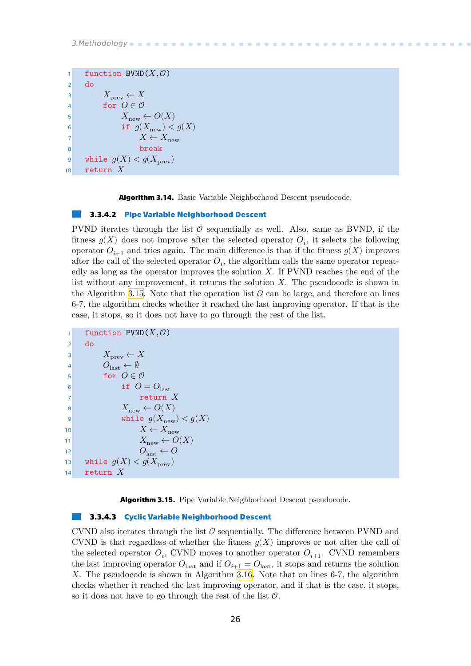<span id="page-33-1"></span>*3.Methodology* **.. .. .. .. .. .. .. .. .. .. .. .. .. .. .. .. .. .. .. .. ..**

```
1 function BVND(X, 0)2 do
3 X_{\text{prev}} \leftarrow X4 for O \in \mathcal{O}5 X_{\text{new}} \leftarrow O(X)6 if g(X_{\text{new}}) < g(X)7
8 break
9 while g(X) < g(X_{\text{prev}})10 return X
```
<span id="page-33-0"></span>**Algorithm 3.14.** Basic Variable Neighborhood Descent pseudocode.

#### **3.3.4.2 Pipe Variable Neighborhood Descent**

PVND iterates through the list  $\mathcal O$  sequentially as well. Also, same as BVND, if the fitness  $g(X)$  does not improve after the selected operator  $O_i$ , it selects the following operator  $O_{i+1}$  and tries again. The main difference is that if the fitness  $g(X)$  improves after the call of the selected operator  $O_i$ , the algorithm calls the same operator repeatedly as long as the operator improves the solution  $X$ . If PVND reaches the end of the list without any improvement, it returns the solution  $X$ . The pseudocode is shown in the Algorithm [3.15.](#page-33-2) Note that the operation list  $\mathcal O$  can be large, and therefore on lines 6-7, the algorithm checks whether it reached the last improving operator. If that is the case, it stops, so it does not have to go through the rest of the list.

```
1 function PUND(X, \mathcal{O})2 do
3 X_{\text{prev}} \leftarrow X4 O_{\text{last}} \leftarrow \emptyset5 for O \in \mathcal{O}6 if O = O_{\text{last}}7 return X
8 X_{\text{new}} \leftarrow O(X)9 while g(X_{\text{new}}) < g(X)10 X \leftarrow X_{\text{new}}11 X_{\text{new}} \leftarrow O(X)12 O_{\text{last}} \leftarrow O13 while g(X) < g(X_{\text{prev}})14 return X
```
<span id="page-33-2"></span>**Algorithm 3.15.** Pipe Variable Neighborhood Descent pseudocode.

### **3.3.4.3 Cyclic Variable Neighborhood Descent**

CVND also iterates through the list  $\mathcal O$  sequentially. The difference between PVND and CVND is that regardless of whether the fitness  $q(X)$  improves or not after the call of the selected operator  $O_i$ , CVND moves to another operator  $O_{i+1}$ . CVND remembers the last improving operator  $O_{\text{last}}$  and if  $O_{i+1} = O_{\text{last}}$ , it stops and returns the solution . The pseudocode is shown in Algorithm [3.16.](#page-34-0) Note that on lines 6-7, the algorithm checks whether it reached the last improving operator, and if that is the case, it stops, so it does not have to go through the rest of the list  $\mathcal{O}$ .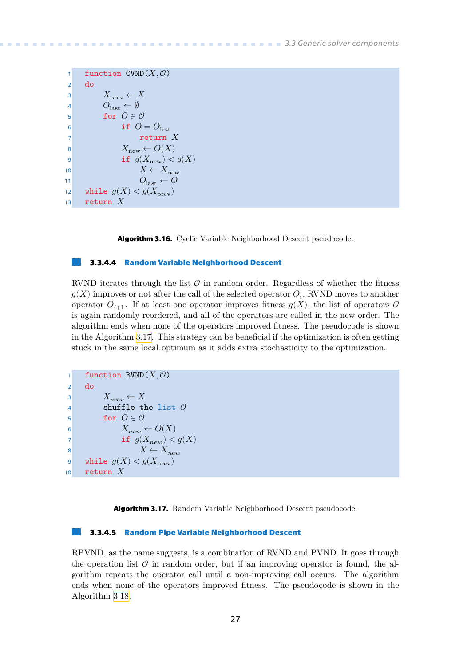<span id="page-34-1"></span>

| 1              | function CVND $(X, \mathcal{O})$       |
|----------------|----------------------------------------|
| $\overline{2}$ | do                                     |
| $\overline{3}$ | $X_{\text{prev}} \leftarrow X$         |
| $\overline{4}$ | $O_{\text{last}} \leftarrow \emptyset$ |
| 5              | for $O \in \mathcal{O}$                |
| 6              | if $O = O_{\text{last}}$               |
| $\overline{7}$ | return $X$                             |
| 8              | $X_{\text{new}} \leftarrow O(X)$       |
| 9              | if $g(X_{\text{new}}) < g(X)$          |
| 10             | $X \leftarrow X_{\text{new}}$          |
| 11             | $O_{\text{last}} \leftarrow O$         |
| 12             | while $g(X) < g(X_{\text{prev}})$      |
| 13             | return $X$                             |

<span id="page-34-0"></span>**Algorithm 3.16.** Cyclic Variable Neighborhood Descent pseudocode.

#### **3.3.4.4 Random Variable Neighborhood Descent**

RVND iterates through the list  $\mathcal O$  in random order. Regardless of whether the fitness  $g(X)$  improves or not after the call of the selected operator  $O_i$ , RVND moves to another operator  $O_{i+1}$ . If at least one operator improves fitness  $g(X)$ , the list of operators  $\mathcal O$ is again randomly reordered, and all of the operators are called in the new order. The algorithm ends when none of the operators improved fitness. The pseudocode is shown in the Algorithm [3.17](#page-34-2). This strategy can be beneficial if the optimization is often getting stuck in the same local optimum as it adds extra stochasticity to the optimization.

```
1 function RVND(X, \mathcal{O})2 do
3 X_{prev} \leftarrow X4 shuffle the list \mathcal O\mathfrak{g} for O \in \mathcal{O}6 X_{new} \leftarrow O(X)7 if g(X_{new}) < g(X)8 X \leftarrow X_{new}9 while g(X) < g(X_{\text{prev}})10 return X
```
<span id="page-34-2"></span>**Algorithm 3.17.** Random Variable Neighborhood Descent pseudocode.

### **3.3.4.5 Random Pipe Variable Neighborhood Descent**

RPVND, as the name suggests, is a combination of RVND and PVND. It goes through the operation list  $\mathcal O$  in random order, but if an improving operator is found, the algorithm repeats the operator call until a non-improving call occurs. The algorithm ends when none of the operators improved fitness. The pseudocode is shown in the Algorithm [3.18.](#page-35-2)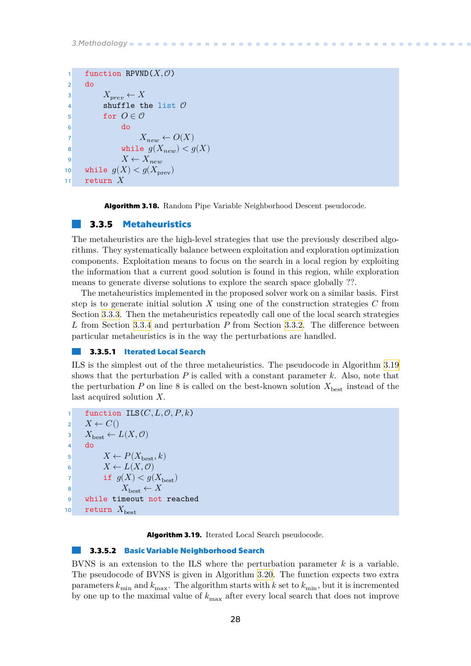```
1 function RPVND(X, \mathcal{O})2 do
3 X_{prev} \leftarrow X4 shuffle the list \mathcal O5 for O \in \mathcal{O}6 do
7 X_{new} \leftarrow O(X)8 while g(X_{new}) < g(X)9 X \leftarrow X_{new}10 while g(X) < g(X_{\text{new}})11 return X
```
<span id="page-35-2"></span><span id="page-35-0"></span>**Algorithm 3.18.** Random Pipe Variable Neighborhood Descent pseudocode.

### **3.3.5 Metaheuristics**

The metaheuristics are the high-level strategies that use the previously described algorithms. They systematically balance between exploitation and exploration optimization components. Exploitation means to focus on the search in a local region by exploiting the information that a current good solution is found in this region, while exploration means to generate diverse solutions to explore the search space globally ??.

The metaheuristics implemented in the proposed solver work on a similar basis. First step is to generate initial solution  $X$  using one of the construction strategies  $C$  from Section [3.3.3](#page-31-0). Then the metaheuristics repeatedly call one of the local search strategies L from Section [3.3.4](#page-32-0) and perturbation  $P$  from Section [3.3.2](#page-28-0). The difference between particular metaheuristics is in the way the perturbations are handled.

### **3.3.5.1 Iterated Local Search**

ILS is the simplest out of the three metaheuristics. The pseudocode in Algorithm [3.19](#page-35-3) shows that the perturbation  $P$  is called with a constant parameter  $k$ . Also, note that the perturbation  $P$  on line 8 is called on the best-known solution  $X_{\text{best}}$  instead of the last acquired solution  $X$ .

```
function ILS(C, L, \mathcal{O}, P, k)2 X \leftarrow C()3 X_{\text{best}} \leftarrow L(X, 0)4 do
5 X \leftarrow P(X_{\text{best}}, k)6 X \leftarrow L(X, \mathcal{O})7 if g(X) < g(X_{\text{best}})8 X_{\text{best}} \leftarrow X9 while timeout not reached
10 return X_{\text{best}}
```
<span id="page-35-3"></span>**Algorithm 3.19.** Iterated Local Search pseudocode.

### **3.3.5.2 Basic Variable Neighborhood Search**

BVNS is an extension to the ILS where the perturbation parameter  $k$  is a variable. The pseudocode of BVNS is given in Algorithm [3.20.](#page-36-2) The function expects two extra parameters  $k_{\text{min}}$  and  $k_{\text{max}}$ . The algorithm starts with k set to  $k_{\text{min}}$ , but it is incremented by one up to the maximal value of  $k_{\text{max}}$  after every local search that does not improve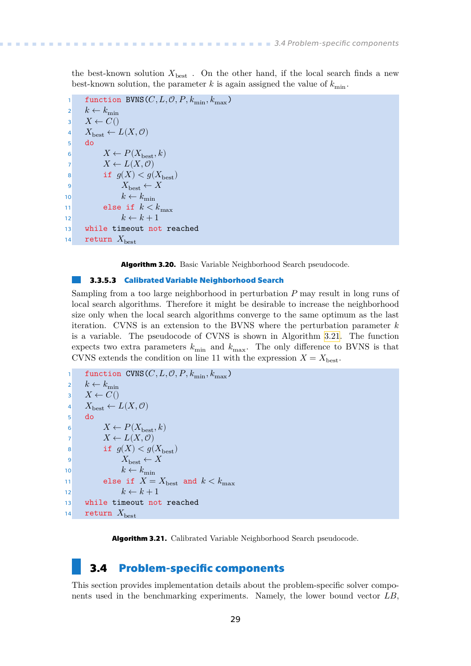<span id="page-36-1"></span>the best-known solution  $X_{\text{best}}$ . On the other hand, if the local search finds a new best-known solution, the parameter k is again assigned the value of  $k_{\text{min}}$ .

```
function BVNS(C, L, \mathcal{O}, P, k_{\min}, k_{\max})
 2 k \leftarrow k_{\min}\overline{\mathbf{3}} \quad X \leftarrow C()4 X_{\text{best}} \leftarrow L(X, 0)5 do
 6 X \leftarrow P(X_{\text{best}}, k)7 X \leftarrow L(X, \mathcal{O})8 if g(X) < g(X_{\text{best}})9 X_{\text{best}} \leftarrow X10 k \leftarrow k_{\min}11 else if k < k_{\text{max}}12 k \leftarrow k + 113 while timeout not reached
14 return X_{\text{best}}
```
<span id="page-36-2"></span>**Algorithm 3.20.** Basic Variable Neighborhood Search pseudocode.

### **3.3.5.3 Calibrated Variable Neighborhood Search**

Sampling from a too large neighborhood in perturbation  $P$  may result in long runs of local search algorithms. Therefore it might be desirable to increase the neighborhood size only when the local search algorithms converge to the same optimum as the last iteration. CVNS is an extension to the BVNS where the perturbation parameter  $k$ is a variable. The pseudocode of CVNS is shown in Algorithm [3.21.](#page-36-3) The function expects two extra parameters  $k_{\text{min}}$  and  $k_{\text{max}}$ . The only difference to BVNS is that CVNS extends the condition on line 11 with the expression  $X = X_{\text{best}}$ .

```
function CVNS(C, L, \mathcal{O}, P, k_{\min}, k_{\max})
 2 k \leftarrow k_{\min}\overline{\mathbf{3}}  X \leftarrow C()4 X_{\text{best}} \leftarrow L(X, 0)5 do
 6 X \leftarrow P(X_{\text{best}}, k)7 X \leftarrow L(X, \mathcal{O})8 if g(X) < g(X_{\text{best}})9 X_{\text{best}} \leftarrow X10 k \leftarrow k_{\min}11 else if X = X_{\text{best}} and k < k_{\text{max}}12 k \leftarrow k + 113 while timeout not reached
14 return X_{\text{best}}
```
<span id="page-36-3"></span><span id="page-36-0"></span>**Algorithm 3.21.** Calibrated Variable Neighborhood Search pseudocode.

### **3.4 Problem-specific components**

This section provides implementation details about the problem-specific solver components used in the benchmarking experiments. Namely, the lower bound vector  $LB$ ,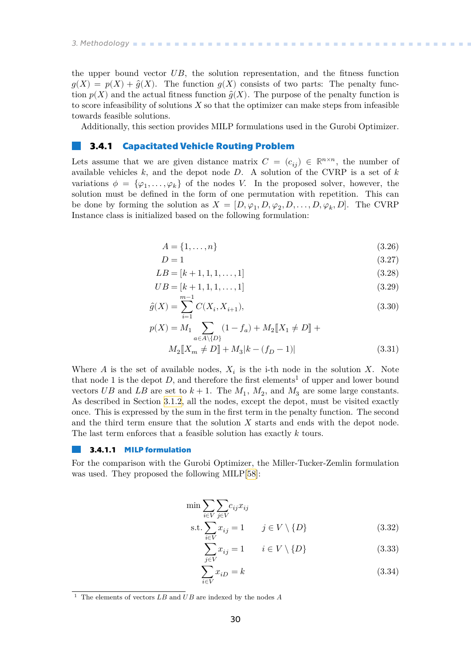<span id="page-37-1"></span>the upper bound vector  $UB$ , the solution representation, and the fitness function  $q(X) = p(X) + \hat{q}(X)$ . The function  $q(X)$  consists of two parts: The penalty function  $p(X)$  and the actual fitness function  $\hat{q}(X)$ . The purpose of the penalty function is to score infeasibility of solutions  $X$  so that the optimizer can make steps from infeasible towards feasible solutions.

<span id="page-37-0"></span>Additionally, this section provides MILP formulations used in the Gurobi Optimizer.

### **3.4.1 Capacitated Vehicle Routing Problem**

Lets assume that we are given distance matrix  $C = (c_{ij}) \in \mathbb{R}^{n \times n}$ , the number of available vehicles  $k$ , and the depot node  $D$ . A solution of the CVRP is a set of  $k$ variations  $\phi = {\varphi_1, \ldots, \varphi_k}$  of the nodes V. In the proposed solver, however, the solution must be defined in the form of one permutation with repetition. This can be done by forming the solution as  $X = [D, \varphi_1, D, \varphi_2, D, \ldots, D, \varphi_k, D]$ . The CVRP Instance class is initialized based on the following formulation:

$$
A = \{1, \dots, n\} \tag{3.26}
$$

$$
D = 1 \tag{3.27}
$$

$$
LB = [k+1, 1, 1, \dots, 1]
$$
\n(3.28)

$$
UB = [k+1, 1, 1, \dots, 1]
$$
\n(3.29)

$$
\hat{g}(X) = \sum_{i=1}^{m-1} C(X_i, X_{i+1}),
$$
\n(3.30)

$$
p(X) = M_1 \sum_{a \in A \backslash \{D\}} (1 - f_a) + M_2 \llbracket X_1 \neq D \rrbracket + M_2 \llbracket X_m \neq D \rrbracket + M_3 \llbracket k - (f_D - 1) \rrbracket \tag{3.31}
$$

Where A is the set of available nodes,  $X_i$  is the i-th node in the solution X. Note that node 1 is the depot  $D$ , and therefore the first elements<sup>1</sup> of upper and lower bound vectors UB and LB are set to  $k+1$ . The  $M_1$ ,  $M_2$ , and  $M_3$  are some large constants. As described in Section [3.1.2,](#page-16-0) all the nodes, except the depot, must be visited exactly once. This is expressed by the sum in the first term in the penalty function. The second and the third term ensure that the solution  $X$  starts and ends with the depot node. The last term enforces that a feasible solution has exactly  $k$  tours.

#### **3.4.1.1 MILP formulation**

For the comparison with the Gurobi Optimizer, the Miller-Tucker-Zemlin formulation was used. They proposed the following MILP[[58](#page-55-9)]:

$$
\min \sum_{i \in V} \sum_{j \in V} c_{ij} x_{ij}
$$
\n
$$
\text{s.t.} \sum x_{ij} = 1 \qquad j \in V \setminus \{D\} \tag{3.32}
$$

<span id="page-37-2"></span>
$$
\sum_{j \in V}^{i \in V} x_{ij} = 1 \qquad i \in V \setminus \{D\}
$$
\n(3.33)

<span id="page-37-4"></span><span id="page-37-3"></span>
$$
\sum_{i \in V} x_{iD} = k \tag{3.34}
$$

<sup>&</sup>lt;sup>1</sup> The elements of vectors  $LB$  and  $UB$  are indexed by the nodes  $A$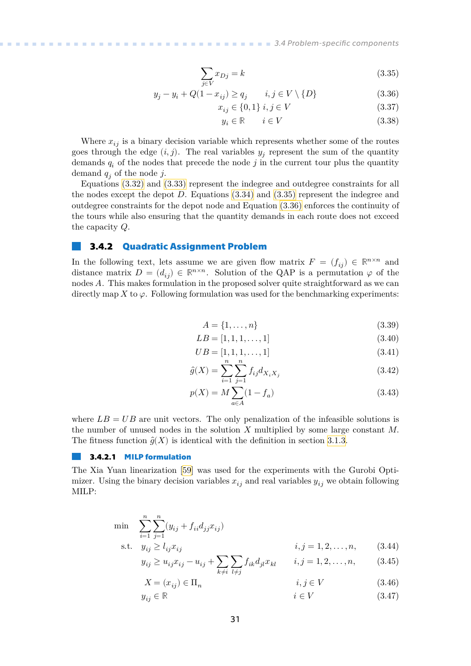$$
\sum_{j \in V} x_{Dj} = k \tag{3.35}
$$

$$
y_j - y_i + Q(1 - x_{ij}) \ge q_j \qquad i, j \in V \setminus \{D\}
$$
 (3.36)

<span id="page-38-2"></span>
$$
x_{ij} \in \{0, 1\} \ i, j \in V \tag{3.37}
$$

<span id="page-38-3"></span>
$$
y_i \in \mathbb{R} \qquad i \in V \tag{3.38}
$$

<span id="page-38-1"></span>Where  $x_{ij}$  is a binary decision variable which represents whether some of the routes goes through the edge  $(i, j)$ . The real variables  $y_j$  represent the sum of the quantity demands  $q_i$  of the nodes that precede the node  $j$  in the current tour plus the quantity demand  $q_i$  of the node j.

Equations [\(3.32\)](#page-37-2) and [\(3.33\)](#page-37-3) represent the indegree and outdegree constraints for all the nodes except the depot  $D$ . Equations  $(3.34)$  and  $(3.35)$  represent the indegree and outdegree constraints for the depot node and Equation [\(3.36\)](#page-38-3) enforces the continuity of the tours while also ensuring that the quantity demands in each route does not exceed the capacity  $Q$ .

### <span id="page-38-0"></span>**3.4.2 Quadratic Assignment Problem**

In the following text, lets assume we are given flow matrix  $F = (f_{ii}) \in \mathbb{R}^{n \times n}$  and distance matrix  $D = (d_{ij}) \in \mathbb{R}^{n \times n}$ . Solution of the QAP is a permutation  $\varphi$  of the nodes A. This makes formulation in the proposed solver quite straightforward as we can directly map X to  $\varphi$ . Following formulation was used for the benchmarking experiments:

$$
A = \{1, \ldots, n\} \tag{3.39}
$$

$$
LB = [1, 1, 1, \dots, 1] \tag{3.40}
$$

$$
UB = [1, 1, 1, \dots, 1] \tag{3.41}
$$

$$
\hat{g}(X) = \sum_{i=1}^{n} \sum_{j=1}^{n} f_{ij} d_{X_i X_j}
$$
\n(3.42)

$$
p(X) = M \sum_{a \in A} (1 - f_a) \tag{3.43}
$$

where  $LB = UB$  are unit vectors. The only penalization of the infeasible solutions is the number of unused nodes in the solution  $X$  multiplied by some large constant  $M$ . The fitness function  $\hat{g}(X)$  is identical with the definition in section [3.1.3.](#page-17-0)

### **3.4.2.1 MILP formulation**

The Xia Yuan linearization[[59\]](#page-55-10) was used for the experiments with the Gurobi Optimizer. Using the binary decision variables  $x_{ij}$  and real variables  $y_{ij}$  we obtain following MILP:

$$
\min \sum_{i=1}^{n} \sum_{j=1}^{n} (y_{ij} + f_{ii} d_{jj} x_{ij})
$$
\n
$$
\text{s.t.} \quad y_{ij} \ge l_{ij} x_{ij} \qquad \qquad i, j = 1, 2, \dots, n, \tag{3.44}
$$

$$
y_{ij} \ge u_{ij} x_{ij} - u_{ij} + \sum_{k \ne i} \sum_{l \ne j} f_{ik} d_{jl} x_{kl} \qquad i, j = 1, 2, \dots, n,
$$
 (3.45)

$$
X = (x_{ij}) \in \Pi_n \qquad \qquad i, j \in V \tag{3.46}
$$

$$
y_{ij} \in \mathbb{R} \tag{3.47}
$$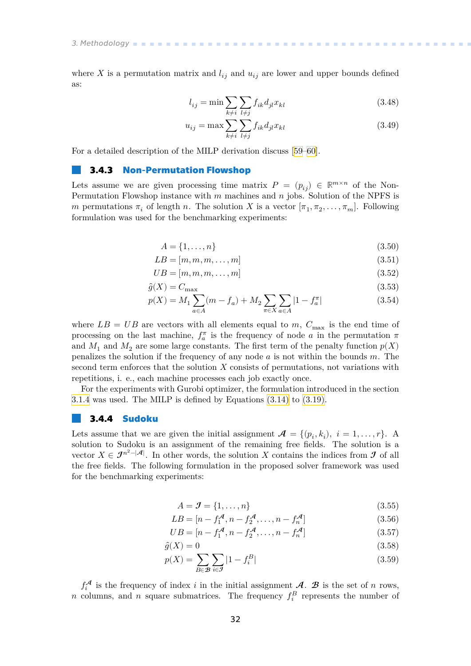<span id="page-39-1"></span>where X is a permutation matrix and  $l_{ij}$  and  $u_{ij}$  are lower and upper bounds defined as:

$$
l_{ij} = \min \sum_{k \neq i} \sum_{l \neq j} f_{ik} d_{jl} x_{kl}
$$
 (3.48)

$$
u_{ij} = \max \sum_{k \neq i} \sum_{l \neq j} f_{ik} d_{jl} x_{kl} \tag{3.49}
$$

For a detailed description of the MILP derivation discuss[[59–](#page-55-10)[60\]](#page-55-11).

### <span id="page-39-0"></span>**3.4.3 Non-Permutation Flowshop**

Lets assume we are given processing time matrix  $P = (p_{ij}) \in \mathbb{R}^{m \times n}$  of the Non-Permutation Flowshop instance with  $m$  machines and  $n$  jobs. Solution of the NPFS is m permutations  $\pi_i$  of length n. The solution X is a vector  $[\pi_1, \pi_2, \ldots, \pi_m]$ . Following formulation was used for the benchmarking experiments:

$$
A = \{1, \ldots, n\} \tag{3.50}
$$

$$
LB = [m, m, m, \dots, m]
$$
\n(3.51)

$$
UB = [m, m, m, \dots, m]
$$
\n
$$
(3.52)
$$

$$
\hat{g}(X) = C_{\text{max}} \tag{3.53}
$$

$$
p(X) = M_1 \sum_{a \in A} (m - f_a) + M_2 \sum_{\pi \in X} \sum_{a \in A} |1 - f_a^{\pi}|
$$
 (3.54)

where  $LB = UB$  are vectors with all elements equal to m,  $C_{\text{max}}$  is the end time of processing on the last machine,  $f_a^{\pi}$  is the frequency of node a in the permutation  $\pi$ and  $M_1$  and  $M_2$  are some large constants. The first term of the penalty function  $p(X)$ penalizes the solution if the frequency of any node  $a$  is not within the bounds  $m$ . The second term enforces that the solution  $X$  consists of permutations, not variations with repetitions, i. e., each machine processes each job exactly once.

For the experiments with Gurobi optimizer, the formulation introduced in the section [3.1.4](#page-17-2) was used. The MILP is defined by Equations [\(3.14\)](#page-18-4) to [\(3.19\)](#page-18-5).

### <span id="page-39-2"></span>**3.4.4 Sudoku**

Lets assume that we are given the initial assignment  $\mathcal{A} = \{(p_i, k_i), i = 1, \ldots, r\}$ . A solution to Sudoku is an assignment of the remaining free fields. The solution is a vector  $X \in \mathcal{J}^{n^2-|\mathcal{A}|}$ . In other words, the solution X contains the indices from  $\mathcal{J}$  of all the free fields. The following formulation in the proposed solver framework was used for the benchmarking experiments:

$$
A = \mathcal{J} = \{1, \dots, n\} \tag{3.55}
$$

$$
LB = [n - f_1^{\mathcal{A}}, n - f_2^{\mathcal{A}}, \dots, n - f_n^{\mathcal{A}}]
$$
\n(3.56)

$$
UB = [n - f_1^{\mathcal{A}}, n - f_2^{\mathcal{A}}, \dots, n - f_n^{\mathcal{A}}]
$$
\n(3.57)

$$
\hat{g}(X) = 0\tag{3.58}
$$

$$
p(X) = \sum_{B \in \mathcal{B}} \sum_{i \in \mathcal{I}} |1 - f_i^B|
$$
\n(3.59)

 $f_i^{\mathcal{A}}$  is the frequency of index *i* in the initial assignment  $\mathcal{A}$ .  $\mathcal{B}$  is the set of *n* rows, n columns, and n square submatrices. The frequency  $f_i^B$  represents the number of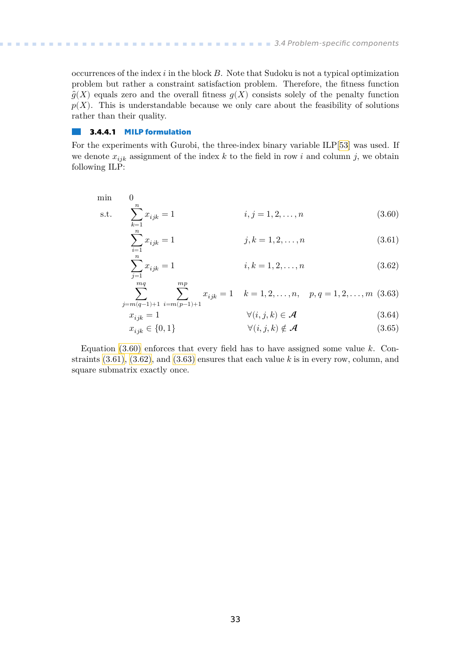occurrences of the index  $i$  in the block  $B$ . Note that Sudoku is not a typical optimization problem but rather a constraint satisfaction problem. Therefore, the fitness function  $\hat{g}(X)$  equals zero and the overall fitness  $g(X)$  consists solely of the penalty function  $p(X)$ . This is understandable because we only care about the feasibility of solutions rather than their quality.

#### **3.4.4.1 MILP formulation**  $\mathbb{R}^n$

For the experiments with Gurobi, the three-index binary variable ILP[\[53](#page-55-4)] was used. If we denote  $x_{ijk}$  assignment of the index k to the field in row i and column j, we obtain following ILP:

min 0  
s.t. 
$$
\sum_{k=1}^{n} x_{ijk} = 1
$$
 *i*, *j* = 1, 2, ..., *n* (3.60)

<span id="page-40-1"></span><span id="page-40-0"></span>
$$
\sum_{i=1}^{n} x_{ijk} = 1 \qquad j, k = 1, 2, \dots, n \qquad (3.61)
$$

<span id="page-40-3"></span><span id="page-40-2"></span>
$$
\sum_{j=1}^{n} x_{ijk} = 1 \qquad \qquad i, k = 1, 2, \dots, n \qquad (3.62)
$$

$$
\sum_{j=m(q-1)+1}^{mq} \sum_{i=m(p-1)+1}^{mp} x_{ijk} = 1 \quad k = 1, 2, \dots, n, \quad p, q = 1, 2, \dots, m \tag{3.63}
$$

$$
x_{ijk} = 1 \qquad \qquad \forall (i, j, k) \in \mathcal{A} \qquad (3.64)
$$
  

$$
x_{ijk} \in \{0, 1\} \qquad \qquad \forall (i, j, k) \notin \mathcal{A} \qquad (3.65)
$$

Equation [\(3.60\)](#page-40-0) enforces that every field has to have assigned some value  $k$ . Constraints  $(3.61)$ ,  $(3.62)$ , and  $(3.63)$  ensures that each value k is in every row, column, and square submatrix exactly once.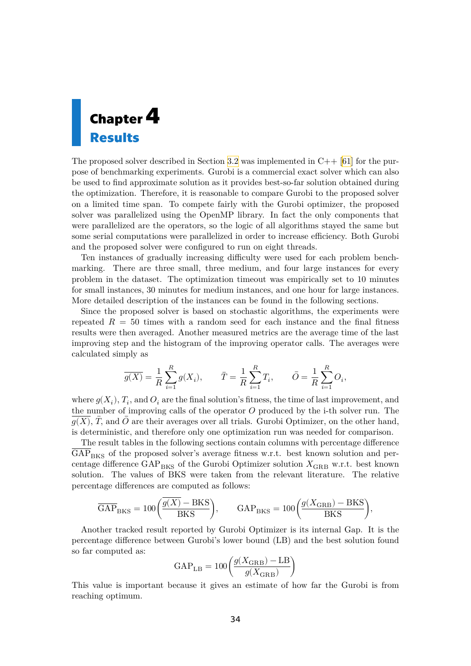<span id="page-41-1"></span><span id="page-41-0"></span>

The proposed solver described in Section [3.2](#page-19-0)was implemented in  $C_{++}$  [[61\]](#page-55-12) for the purpose of benchmarking experiments. Gurobi is a commercial exact solver which can also be used to find approximate solution as it provides best-so-far solution obtained during the optimization. Therefore, it is reasonable to compare Gurobi to the proposed solver on a limited time span. To compete fairly with the Gurobi optimizer, the proposed solver was parallelized using the OpenMP library. In fact the only components that were parallelized are the operators, so the logic of all algorithms stayed the same but some serial computations were parallelized in order to increase efficiency. Both Gurobi and the proposed solver were configured to run on eight threads.

Ten instances of gradually increasing difficulty were used for each problem benchmarking. There are three small, three medium, and four large instances for every problem in the dataset. The optimization timeout was empirically set to 10 minutes for small instances, 30 minutes for medium instances, and one hour for large instances. More detailed description of the instances can be found in the following sections.

Since the proposed solver is based on stochastic algorithms, the experiments were repeated  $R = 50$  times with a random seed for each instance and the final fitness results were then averaged. Another measured metrics are the average time of the last improving step and the histogram of the improving operator calls. The averages were calculated simply as

$$
\overline{g(X)}=\frac{1}{R}\sum_{i=1}^R g(X_i),\qquad \bar{T}=\frac{1}{R}\sum_{i=1}^R T_i,\qquad \bar{O}=\frac{1}{R}\sum_{i=1}^R O_i,
$$

where  $g(X_i)$ ,  $T_i$ , and  $O_i$  are the final solution's fitness, the time of last improvement, and the number of improving calls of the operator  $O$  produced by the i-th solver run. The  $q(X)$ ,  $\overline{T}$ , and  $\overline{O}$  are their averages over all trials. Gurobi Optimizer, on the other hand, is deterministic, and therefore only one optimization run was needed for comparison.

The result tables in the following sections contain columns with percentage difference  $\overline{GAP}_{BKS}$  of the proposed solver's average fitness w.r.t. best known solution and percentage difference  $\text{GAP}_{\text{BKS}}$  of the Gurobi Optimizer solution  $X_{\text{GRB}}$  w.r.t. best known solution. The values of BKS were taken from the relevant literature. The relative percentage differences are computed as follows:

$$
\overline{\text{GAP}}_{\text{BKS}} = 100 \left( \frac{\overline{g(X)} - \text{BKS}}{\text{BKS}} \right), \qquad \text{GAP}_{\text{BKS}} = 100 \left( \frac{g(X_{\text{GRB}}) - \text{BKS}}{\text{BKS}} \right),
$$

Another tracked result reported by Gurobi Optimizer is its internal Gap. It is the percentage difference between Gurobi's lower bound (LB) and the best solution found so far computed as:

$$
{\rm GAP_{LB}} = 100\bigg(\frac{g(X_{\rm GRB})-{\rm LB}}{g(X_{\rm GRB})}\bigg)
$$

This value is important because it gives an estimate of how far the Gurobi is from reaching optimum.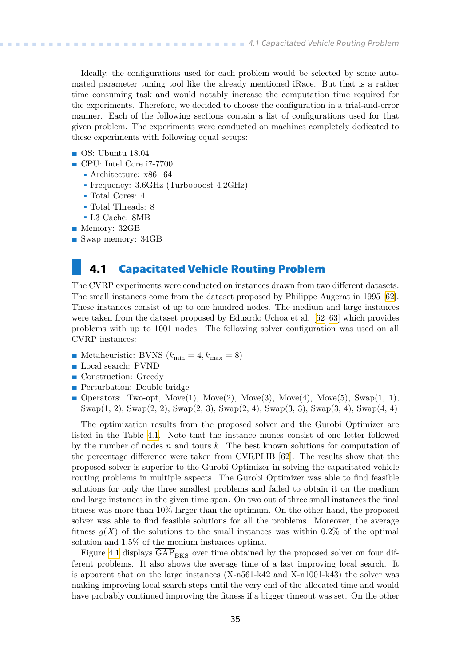<span id="page-42-1"></span>Ideally, the configurations used for each problem would be selected by some automated parameter tuning tool like the already mentioned iRace. But that is a rather time consuming task and would notably increase the computation time required for the experiments. Therefore, we decided to choose the configuration in a trial-and-error manner. Each of the following sections contain a list of configurations used for that given problem. The experiments were conducted on machines completely dedicated to these experiments with following equal setups:

- **.** OS: Ubuntu 18.04
- **.** CPU: Intel Core i7-7700
	- **.** Architecture: x86\_64
	- **.** Frequency: 3.6GHz (Turboboost 4.2GHz)
	- **.** Total Cores: 4
	- **.** Total Threads: 8
	- **.** L3 Cache: 8MB
- **.** Memory: 32GB
- **.** Swap memory: 34GB

### <span id="page-42-0"></span>**4.1 Capacitated Vehicle Routing Problem**

The CVRP experiments were conducted on instances drawn from two different datasets. The small instances come from the dataset proposed by Philippe Augerat in 1995[[62](#page-55-13)]. These instances consist of up to one hundred nodes. The medium and large instances were taken from the dataset proposed by Eduardo Uchoa et al.[[62–](#page-55-13)[63](#page-55-14)] which provides problems with up to 1001 nodes. The following solver configuration was used on all CVRP instances:

- **.** Metaheuristic: BVNS (min = 4, max = 8) **.** Local search: PVND
- Local search: PVND<br>■ Construction: Greedy
- 
- **Perturbation:** Double bridge
- **.** Operators: Two-opt,  $Move(1)$ ,  $Move(2)$ ,  $Move(3)$ ,  $Move(4)$ ,  $Move(5)$ ,  $Swap(1, 1)$ , Swap(1, 2), Swap(2, 2), Swap(2, 3), Swap(2, 4), Swap(3, 3), Swap(3, 4), Swap(4, 4)

The optimization results from the proposed solver and the Gurobi Optimizer are listed in the Table [4.1.](#page-43-0) Note that the instance names consist of one letter followed by the number of nodes  $n$  and tours  $k$ . The best known solutions for computation of the percentage difference were taken from CVRPLIB [\[62](#page-55-13)]. The results show that the proposed solver is superior to the Gurobi Optimizer in solving the capacitated vehicle routing problems in multiple aspects. The Gurobi Optimizer was able to find feasible solutions for only the three smallest problems and failed to obtain it on the medium and large instances in the given time span. On two out of three small instances the final fitness was more than 10% larger than the optimum. On the other hand, the proposed solver was able to find feasible solutions for all the problems. Moreover, the average fitness  $q(X)$  of the solutions to the small instances was within 0.2% of the optimal solution and 1.5% of the medium instances optima.

Figure [4.1](#page-43-2) displays  $\overline{GAP}_{BKS}$  over time obtained by the proposed solver on four different problems. It also shows the average time of a last improving local search. It is apparent that on the large instances (X-n561-k42 and X-n1001-k43) the solver was making improving local search steps until the very end of the allocated time and would have probably continued improving the fitness if a bigger timeout was set. On the other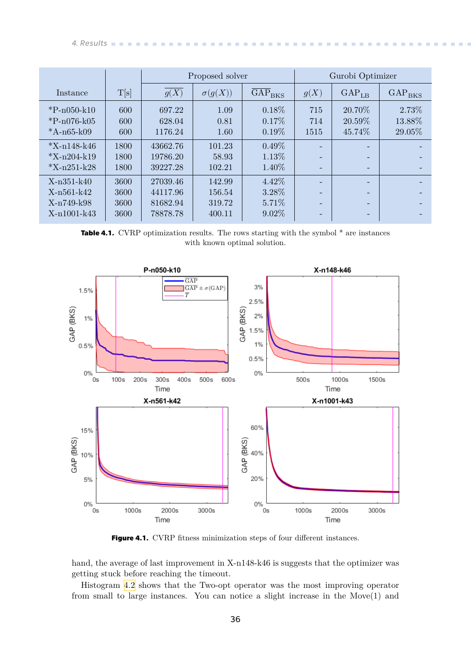<span id="page-43-1"></span>*4. Results* **.............................................**

|                              |      |          | Proposed solver |                                  | Gurobi Optimizer |                   |                      |  |
|------------------------------|------|----------|-----------------|----------------------------------|------------------|-------------------|----------------------|--|
| Instance                     | T[s] | g(X)     | $\sigma(g(X))$  | $\overline{\rm{GAP}}_{\rm{BKS}}$ | g(X)             | GAP <sub>LB</sub> | $\rm{GAP}_{\rm BKS}$ |  |
| ${}^{*}\mathrm{P}$ -n050-k10 | 600  | 697.22   | 1.09            | $0.18\%$                         | 715              | 20.70\%           | 2.73%                |  |
| ${}^{*}\mathrm{P}$ -n076-k05 | 600  | 628.04   | 0.81            | $0.17\%$                         | 714              | 20.59\%           | 13.88%               |  |
| *A- $n65$ -k09               | 600  | 1176.24  | 1.60            | $0.19\%$                         | 1515             | 45.74\%           | 29.05%               |  |
| $*X-n148-k46$                | 1800 | 43662.76 | 101.23          | $0.49\%$                         |                  |                   |                      |  |
| $*X-n204-k19$                | 1800 | 19786.20 | 58.93           | $1.13\%$                         |                  |                   |                      |  |
| $*X-n251-k28$                | 1800 | 39227.28 | 102.21          | 1.40\%                           |                  |                   |                      |  |
| $X-n351-k40$                 | 3600 | 27039.46 | 142.99          | 4.42\%                           |                  |                   |                      |  |
| X-n561-k42                   | 3600 | 44117.96 | 156.54          | 3.28%                            |                  |                   |                      |  |
| X-n749-k98                   | 3600 | 81682.94 | 319.72          | 5.71\%                           |                  |                   |                      |  |
| X-n1001-k43                  | 3600 | 78878.78 | 400.11          | $9.02\%$                         |                  |                   |                      |  |

<span id="page-43-0"></span>**Table 4.1.** CVRP optimization results. The rows starting with the symbol  $*$  are instances with known optimal solution.



<span id="page-43-2"></span>Figure 4.1. CVRP fitness minimization steps of four different instances.

hand, the average of last improvement in X-n148-k46 is suggests that the optimizer was getting stuck before reaching the timeout.

Histogram [4.2](#page-44-2) shows that the Two-opt operator was the most improving operator from small to large instances. You can notice a slight increase in the Move(1) and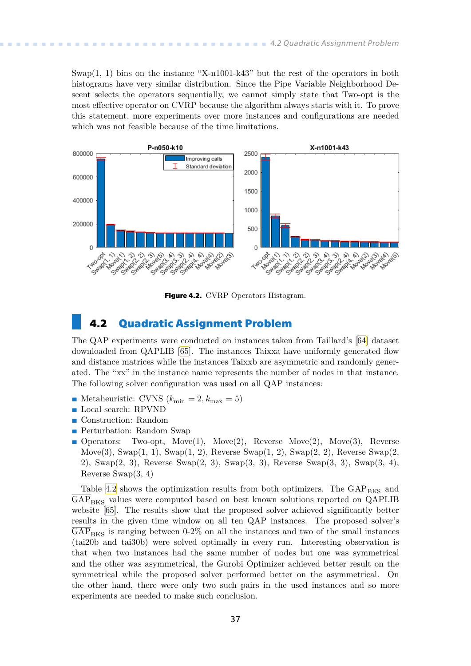<span id="page-44-1"></span>Swap(1, 1) bins on the instance "X-n1001-k43" but the rest of the operators in both histograms have very similar distribution. Since the Pipe Variable Neighborhood Descent selects the operators sequentially, we cannot simply state that Two-opt is the most effective operator on CVRP because the algorithm always starts with it. To prove this statement, more experiments over more instances and configurations are needed which was not feasible because of the time limitations.



<span id="page-44-2"></span>**Figure 4.2.** CVRP Operators Histogram.

### <span id="page-44-0"></span>**4.2 Quadratic Assignment Problem**

The QAP experiments were conducted on instances taken from Taillard's[[64\]](#page-55-15) dataset downloaded from QAPLIB[[65\]](#page-55-16). The instances Taixxa have uniformly generated flow and distance matrices while the instances Taixxb are asymmetric and randomly generated. The "xx" in the instance name represents the number of nodes in that instance. The following solver configuration was used on all QAP instances:

- The following solver configuration was used o<br> **•** Metaheuristic: CVNS  $(k_{\min} = 2, k_{\max} = 5)$ **.** Local search: RPVND
- Local search: RPVND<br>■ Construction: Random
- 
- **.** Perturbation: Random Swap
- **.** Operators: Two-opt, Move(1), Move(2), Reverse Move(2), Move(3), Reverse Move $(3)$ , Swap $(1, 1)$ , Swap $(1, 2)$ , Reverse Swap $(1, 2)$ , Swap $(2, 2)$ , Reverse Swap $(2, 3)$ 2), Swap(2, 3), Reverse Swap(2, 3), Swap(3, 3), Reverse Swap(3, 3), Swap(3, 4), Reverse Swap(3, 4)

Table [4.2](#page-45-0) shows the optimization results from both optimizers. The  $GAP_{BKS}$  and  $\overline{GAP}_{BKS}$  values were computed based on best known solutions reported on QAPLIB website [\[65](#page-55-16)]. The results show that the proposed solver achieved significantly better results in the given time window on all ten QAP instances. The proposed solver's  $\overline{GAP}_{BKS}$  is ranging between 0-2% on all the instances and two of the small instances (tai20b and tai30b) were solved optimally in every run. Interesting observation is that when two instances had the same number of nodes but one was symmetrical and the other was asymmetrical, the Gurobi Optimizer achieved better result on the symmetrical while the proposed solver performed better on the asymmetrical. On the other hand, there were only two such pairs in the used instances and so more experiments are needed to make such conclusion.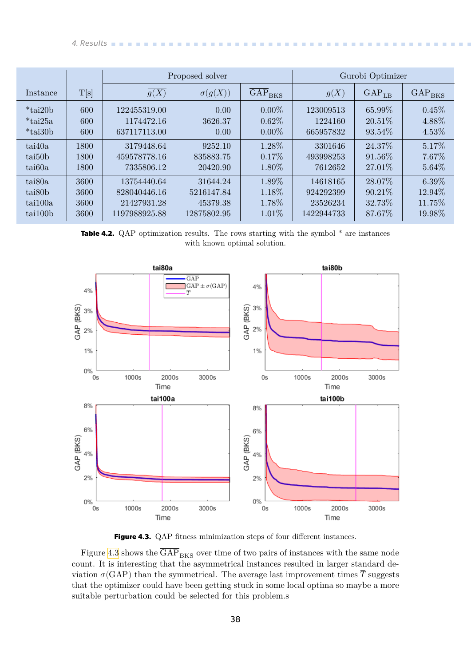<span id="page-45-1"></span>*4. Results* **.............................................**

|                      |      |               | Proposed solver | Gurobi Optimizer |            |                   |             |
|----------------------|------|---------------|-----------------|------------------|------------|-------------------|-------------|
| Instance             | T[s] | g(X)          | $\sigma(g(X))$  | $GAP_{BKS}$      | g(X)       | GAP <sub>LB</sub> | $GAP_{BKS}$ |
| $*_{\text{tail}20b}$ | 600  | 122455319.00  | 0.00            | $0.00\%$         | 123009513  | 65.99%            | 0.45%       |
| $*$ tai25a           | 600  | 1174472.16    | 3626.37         | $0.62\%$         | 1224160    | $20.51\%$         | 4.88%       |
| $*_{\text{tail}30b}$ | 600  | 637117113.00  | 0.00            | $0.00\%$         | 665957832  | 93.54\%           | 4.53%       |
| tai40a               | 1800 | 3179448.64    | 9252.10         | 1.28%            | 3301646    | 24.37%            | 5.17%       |
| tai <sub>50</sub> b  | 1800 | 459578778.16  | 835883.75       | $0.17\%$         | 493998253  | 91.56\%           | 7.67%       |
| tai60a               | 1800 | 7335806.12    | 20420.90        | 1.80%            | 7612652    | 27.01\%           | 5.64%       |
| tai <sub>80</sub> a  | 3600 | 13754440.64   | 31644.24        | 1.89%            | 14618165   | 28.07%            | $6.39\%$    |
| tai <sub>80</sub> b  | 3600 | 828040446.16  | 5216147.84      | 1.18%            | 924292399  | $90.21\%$         | 12.94%      |
| tai100a              | 3600 | 21427931.28   | 45379.38        | 1.78%            | 23526234   | 32.73\%           | 11.75%      |
| tail00b              | 3600 | 1197988925.88 | 12875802.95     | $1.01\%$         | 1422944733 | 87.67%            | 19.98%      |

<span id="page-45-0"></span>**Table 4.2.** QAP optimization results. The rows starting with the symbol  $*$  are instances with known optimal solution.



<span id="page-45-2"></span>Figure 4.3. QAP fitness minimization steps of four different instances.

Figure [4.3](#page-45-2) shows the  $\overline{GAP}_{BKS}$  over time of two pairs of instances with the same node count. It is interesting that the asymmetrical instances resulted in larger standard deviation  $\sigma(GAP)$  than the symmetrical. The average last improvement times  $\overline{T}$  suggests that the optimizer could have been getting stuck in some local optima so maybe a more suitable perturbation could be selected for this problem.s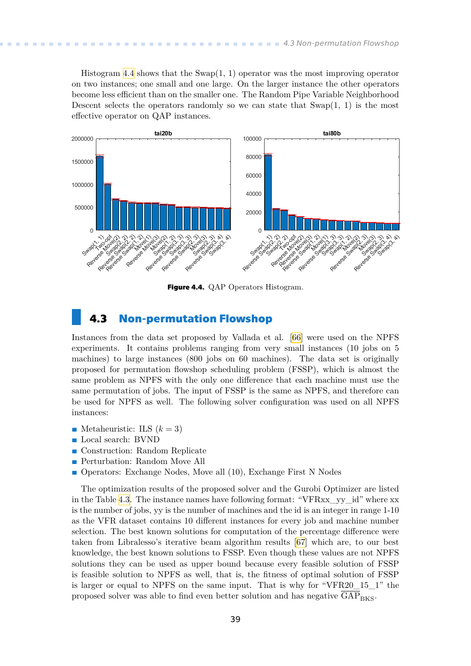<span id="page-46-1"></span>Histogram [4.4](#page-46-2) shows that the Swap(1, 1) operator was the most improving operator on two instances; one small and one large. On the larger instance the other operators become less efficient than on the smaller one. The Random Pipe Variable Neighborhood Descent selects the operators randomly so we can state that  $\text{Swap}(1, 1)$  is the most effective operator on QAP instances.



<span id="page-46-2"></span>**Figure 4.4.** QAP Operators Histogram.

### <span id="page-46-0"></span>**4.3 Non-permutation Flowshop**

Instances from the data set proposed by Vallada et al. [\[66](#page-56-0)] were used on the NPFS experiments. It contains problems ranging from very small instances (10 jobs on 5 machines) to large instances (800 jobs on 60 machines). The data set is originally proposed for permutation flowshop scheduling problem (FSSP), which is almost the same problem as NPFS with the only one difference that each machine must use the same permutation of jobs. The input of FSSP is the same as NPFS, and therefore can be used for NPFS as well. The following solver configuration was used on all NPFS instances:

- **.** Metaheuristic: ILS  $(k = 3)$
- **.** Local search: BVND
- Local search: BVND<br>■ Construction: Random Replicate
- **.** Perturbation: Random Move All
- **.** Operators: Exchange Nodes, Move all (10), Exchange First N Nodes

The optimization results of the proposed solver and the Gurobi Optimizer are listed in the Table [4.3.](#page-47-0) The instance names have following format: "VFRxx\_yy\_id" where xx is the number of jobs, yy is the number of machines and the id is an integer in range 1-10 as the VFR dataset contains 10 different instances for every job and machine number selection. The best known solutions for computation of the percentage difference were taken from Libralesso's iterative beam algorithm results[[67\]](#page-56-1) which are, to our best knowledge, the best known solutions to FSSP. Even though these values are not NPFS solutions they can be used as upper bound because every feasible solution of FSSP is feasible solution to NPFS as well, that is, the fitness of optimal solution of FSSP is larger or equal to NPFS on the same input. That is why for "VFR20\_15\_1" the proposed solver was able to find even better solution and has negative  $GAP_{BKS}$ .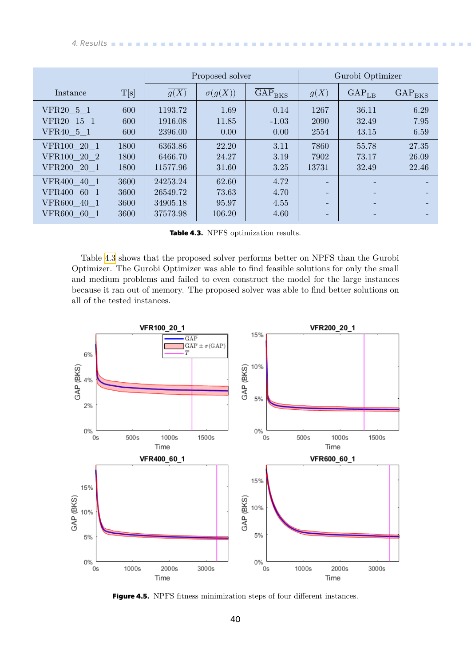<span id="page-47-1"></span>

|                       |      |          | Proposed solver |                                  | Gurobi Optimizer         |                          |                                      |
|-----------------------|------|----------|-----------------|----------------------------------|--------------------------|--------------------------|--------------------------------------|
| Instance              | T[s] | g(X)     | $\sigma(g(X))$  | $\overline{\rm{GAP}}_{\rm{BKS}}$ | g(X)                     | GAP <sub>LB</sub>        | $\overline{\text{GAP}}_{\text{BKS}}$ |
| VFR20 5 1             | 600  | 1193.72  | 1.69            | 0.14                             | 1267                     | 36.11                    | 6.29                                 |
| VFR20 15 1            | 600  | 1916.08  | 11.85           | $-1.03$                          | 2090                     | 32.49                    | 7.95                                 |
| VFR40 5 1             | 600  | 2396.00  | 0.00            | 0.00                             | 2554                     | 43.15                    | 6.59                                 |
| VFR100 20 1           | 1800 | 6363.86  | 22.20           | 3.11                             | 7860                     | 55.78                    | 27.35                                |
| VFR100 20 2           | 1800 | 6466.70  | 24.27           | 3.19                             | 7902                     | 73.17                    | 26.09                                |
| VFR200 20 1           | 1800 | 11577.96 | 31.60           | 3.25                             | 13731                    | 32.49                    | 22.46                                |
| VFR400 40 1           | 3600 | 24253.24 | 62.60           | 4.72                             | $\overline{\phantom{0}}$ | $\overline{\phantom{0}}$ |                                      |
| VFR400 60 1           | 3600 | 26549.72 | 73.63           | 4.70                             | $\overline{\phantom{0}}$ | $\overline{\phantom{0}}$ |                                      |
| VFR600 40 1           | 3600 | 34905.18 | 95.97           | 4.55                             | $\overline{\phantom{0}}$ | -                        |                                      |
| <b>VFR600</b><br>60 1 | 3600 | 37573.98 | 106.20          | 4.60                             | ٠                        |                          |                                      |

<span id="page-47-0"></span>**Table 4.3.** NPFS optimization results.

Table [4.3](#page-47-0) shows that the proposed solver performs better on NPFS than the Gurobi Optimizer. The Gurobi Optimizer was able to find feasible solutions for only the small and medium problems and failed to even construct the model for the large instances because it ran out of memory. The proposed solver was able to find better solutions on all of the tested instances.



<span id="page-47-2"></span>**Figure 4.5.** NPFS fitness minimization steps of four different instances.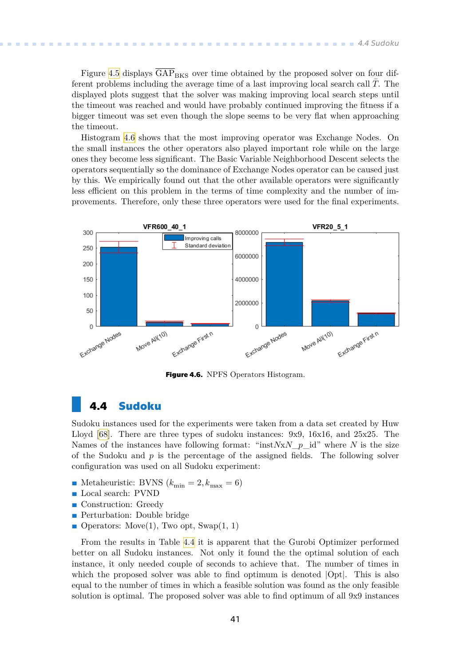<span id="page-48-1"></span>Figure [4.5](#page-47-2) displays  $\overline{GAP}_{BKS}$  over time obtained by the proposed solver on four different problems including the average time of a last improving local search call  $\overline{T}$ . The displayed plots suggest that the solver was making improving local search steps until the timeout was reached and would have probably continued improving the fitness if a bigger timeout was set even though the slope seems to be very flat when approaching the timeout.

Histogram [4.6](#page-48-2) shows that the most improving operator was Exchange Nodes. On the small instances the other operators also played important role while on the large ones they become less significant. The Basic Variable Neighborhood Descent selects the operators sequentially so the dominance of Exchange Nodes operator can be caused just by this. We empirically found out that the other available operators were significantly less efficient on this problem in the terms of time complexity and the number of improvements. Therefore, only these three operators were used for the final experiments.



<span id="page-48-2"></span>**Figure 4.6.** NPFS Operators Histogram.

### <span id="page-48-0"></span>**4.4 Sudoku**

Sudoku instances used for the experiments were taken from a data set created by Huw Lloyd [\[68](#page-56-2)]. There are three types of sudoku instances: 9x9, 16x16, and 25x25. The Names of the instances have following format: "inst $NxN$  p id" where N is the size of the Sudoku and  $p$  is the percentage of the assigned fields. The following solver configuration was used on all Sudoku experiment:

- **.** Metaheuristic: BVNS  $(k_{\text{min}} = 2, k_{\text{max}} = 6)$ **.** Local search: PVND
- Local search: PVND<br>■ Construction: Greedy
- 
- **.** Perturbation: Double bridge
- Operators: Move(1), Two opt, Swap(1, 1)

From the results in Table [4.4](#page-49-0) it is apparent that the Gurobi Optimizer performed better on all Sudoku instances. Not only it found the the optimal solution of each instance, it only needed couple of seconds to achieve that. The number of times in which the proposed solver was able to find optimum is denoted  $|Opt|$ . This is also equal to the number of times in which a feasible solution was found as the only feasible solution is optimal. The proposed solver was able to find optimum of all 9x9 instances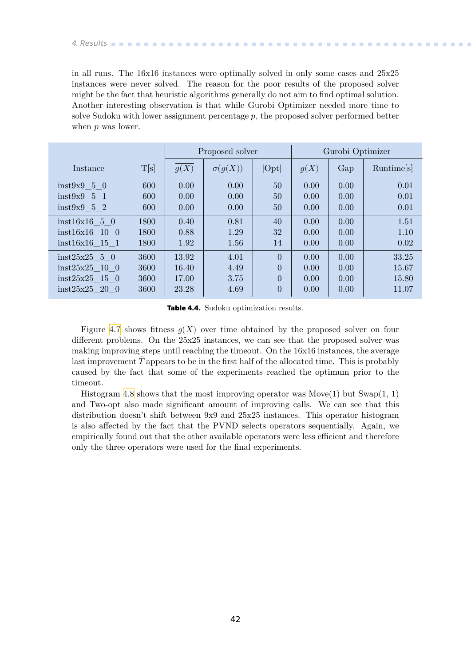<span id="page-49-1"></span>in all runs. The 16x16 instances were optimally solved in only some cases and 25x25 instances were never solved. The reason for the poor results of the proposed solver might be the fact that heuristic algorithms generally do not aim to find optimal solution. Another interesting observation is that while Gurobi Optimizer needed more time to solve Sudoku with lower assignment percentage  $p$ , the proposed solver performed better when  $p$  was lower.

|                  |      | Proposed solver |                |                | Gurobi Optimizer |      |                        |
|------------------|------|-----------------|----------------|----------------|------------------|------|------------------------|
| Instance         | T[s] | g(X)            | $\sigma(g(X))$ | Opt            | g(X)             | Gap  | Runtime <sup>[s]</sup> |
| inst9x950        | 600  | 0.00            | 0.00           | 50             | 0.00             | 0.00 | 0.01                   |
| inst9x951        | 600  | 0.00            | 0.00           | 50             | 0.00             | 0.00 | 0.01                   |
| inst9x952        | 600  | 0.00            | 0.00           | 50             | 0.00             | 0.00 | 0.01                   |
| $inst16x16$ 5 0  | 1800 | 0.40            | 0.81           | 40             | 0.00             | 0.00 | 1.51                   |
| $inst16x16$ 10 0 | 1800 | 0.88            | 1.29           | 32             | 0.00             | 0.00 | 1.10                   |
| $inst16x16$ 15 1 | 1800 | 1.92            | 1.56           | 14             | 0.00             | 0.00 | 0.02                   |
| $inst25x25$ 5 0  | 3600 | 13.92           | 4.01           | $\overline{0}$ | 0.00             | 0.00 | 33.25                  |
| inst25x25 10 0   | 3600 | 16.40           | 4.49           | $\overline{0}$ | 0.00             | 0.00 | 15.67                  |
| $inst25x25$ 15 0 | 3600 | 17.00           | 3.75           | $\theta$       | 0.00             | 0.00 | 15.80                  |
| inst25x25200     | 3600 | 23.28           | 4.69           | $\overline{0}$ | 0.00             | 0.00 | 11.07                  |

<span id="page-49-0"></span>**Table 4.4.** Sudoku optimization results.

Figure [4.7](#page-50-0) shows fitness  $q(X)$  over time obtained by the proposed solver on four different problems. On the 25x25 instances, we can see that the proposed solver was making improving steps until reaching the timeout. On the 16x16 instances, the average last improvement  $\Gamma$  appears to be in the first half of the allocated time. This is probably caused by the fact that some of the experiments reached the optimum prior to the timeout.

Histogram [4.8](#page-50-2) shows that the most improving operator was  $Move(1)$  but  $Swap(1, 1)$ and Two-opt also made significant amount of improving calls. We can see that this distribution doesn't shift between 9x9 and 25x25 instances. This operator histogram is also affected by the fact that the PVND selects operators sequentially. Again, we empirically found out that the other available operators were less efficient and therefore only the three operators were used for the final experiments.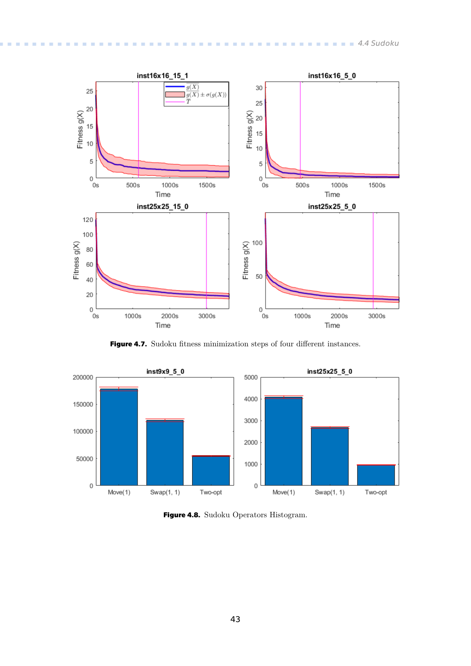<span id="page-50-1"></span>

<span id="page-50-0"></span>**Figure 4.7.** Sudoku fitness minimization steps of four different instances.



<span id="page-50-2"></span>**Figure 4.8.** Sudoku Operators Histogram.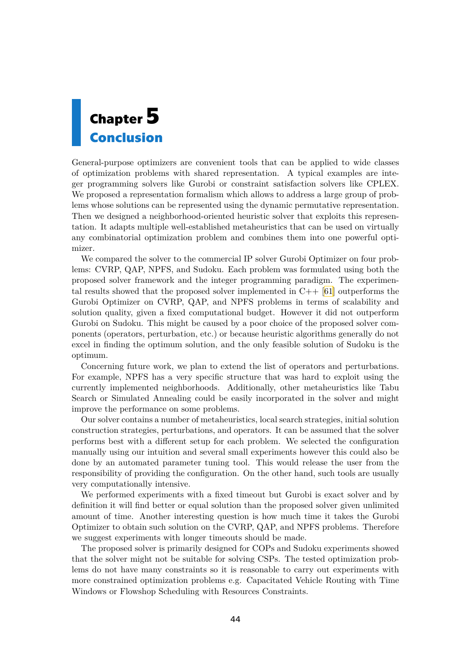# <span id="page-51-1"></span><span id="page-51-0"></span>**Chapter5 Conclusion**

General-purpose optimizers are convenient tools that can be applied to wide classes of optimization problems with shared representation. A typical examples are integer programming solvers like Gurobi or constraint satisfaction solvers like CPLEX. We proposed a representation formalism which allows to address a large group of problems whose solutions can be represented using the dynamic permutative representation. Then we designed a neighborhood-oriented heuristic solver that exploits this representation. It adapts multiple well-established metaheuristics that can be used on virtually any combinatorial optimization problem and combines them into one powerful optimizer.

We compared the solver to the commercial IP solver Gurobi Optimizer on four problems: CVRP, QAP, NPFS, and Sudoku. Each problem was formulated using both the proposed solver framework and the integer programming paradigm. The experimentalresults showed that the proposed solver implemented in  $C_{++}$  [[61\]](#page-55-12) outperforms the Gurobi Optimizer on CVRP, QAP, and NPFS problems in terms of scalability and solution quality, given a fixed computational budget. However it did not outperform Gurobi on Sudoku. This might be caused by a poor choice of the proposed solver components (operators, perturbation, etc.) or because heuristic algorithms generally do not excel in finding the optimum solution, and the only feasible solution of Sudoku is the optimum.

Concerning future work, we plan to extend the list of operators and perturbations. For example, NPFS has a very specific structure that was hard to exploit using the currently implemented neighborhoods. Additionally, other metaheuristics like Tabu Search or Simulated Annealing could be easily incorporated in the solver and might improve the performance on some problems.

Our solver contains a number of metaheuristics, local search strategies, initial solution construction strategies, perturbations, and operators. It can be assumed that the solver performs best with a different setup for each problem. We selected the configuration manually using our intuition and several small experiments however this could also be done by an automated parameter tuning tool. This would release the user from the responsibility of providing the configuration. On the other hand, such tools are usually very computationally intensive.

We performed experiments with a fixed timeout but Gurobi is exact solver and by definition it will find better or equal solution than the proposed solver given unlimited amount of time. Another interesting question is how much time it takes the Gurobi Optimizer to obtain such solution on the CVRP, QAP, and NPFS problems. Therefore we suggest experiments with longer timeouts should be made.

The proposed solver is primarily designed for COPs and Sudoku experiments showed that the solver might not be suitable for solving CSPs. The tested optimization problems do not have many constraints so it is reasonable to carry out experiments with more constrained optimization problems e.g. Capacitated Vehicle Routing with Time Windows or Flowshop Scheduling with Resources Constraints.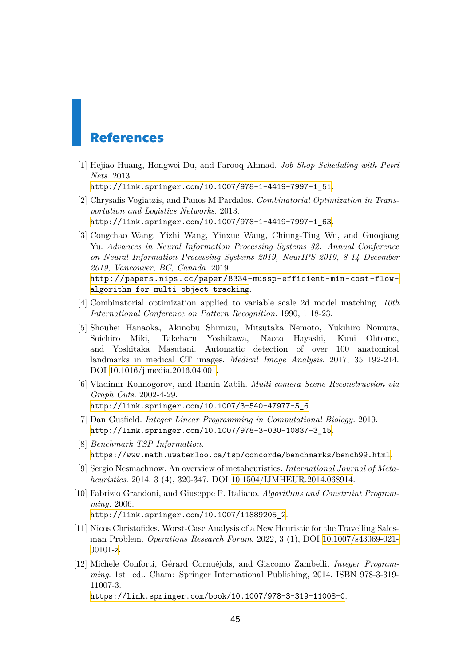## <span id="page-52-0"></span>**References**

<span id="page-52-1"></span>[1] Hejiao Huang, Hongwei Du, and Farooq Ahmad. *Job Shop Scheduling with Petri Nets*. 2013.

[http://link.springer.com/10.1007/978-1-4419-7997-1\\_51](http://link.springer.com/10.1007/978-1-4419-7997-1_51).

- <span id="page-52-2"></span>[2] Chrysafis Vogiatzis, and Panos M Pardalos. *Combinatorial Optimization in Transportation and Logistics Networks*. 2013. [http://link.springer.com/10.1007/978-1-4419-7997-1\\_63](http://link.springer.com/10.1007/978-1-4419-7997-1_63).
- <span id="page-52-3"></span>[3] Congchao Wang, Yizhi Wang, Yinxue Wang, Chiung-Ting Wu, and Guoqiang Yu. *Advances in Neural Information Processing Systems 32: Annual Conference on Neural Information Processing Systems 2019, NeurIPS 2019, 8-14 December 2019, Vancouver, BC, Canada*. 2019.

[http://papers.nips.cc/paper/8334-mussp-efficient-min-cost-flow](http://papers.nips.cc/paper/8334-mussp-efficient-min-cost-flow-algorithm-for-multi-object-tracking)[algorithm-for-multi-object-tracking](http://papers.nips.cc/paper/8334-mussp-efficient-min-cost-flow-algorithm-for-multi-object-tracking).

- <span id="page-52-4"></span>[4] Combinatorial optimization applied to variable scale 2d model matching. *10th International Conference on Pattern Recognition*. 1990, 1 18-23.
- <span id="page-52-5"></span>[5] Shouhei Hanaoka, Akinobu Shimizu, Mitsutaka Nemoto, Yukihiro Nomura, Soichiro Miki, Takeharu Yoshikawa, Naoto Hayashi, Kuni Ohtomo, and Yoshitaka Masutani. Automatic detection of over 100 anatomical landmarks in medical CT images. *Medical Image Analysis*. 2017, 35 192-214. DOI [10.1016/j.media.2016.04.001](http://dx.doi.org/10.1016/j.media.2016.04.001).
- <span id="page-52-6"></span>[6] Vladimir Kolmogorov, and Ramin Zabih. *Multi-camera Scene Reconstruction via Graph Cuts*. 2002-4-29. [http://link.springer.com/10.1007/3-540-47977-5\\_6](http://link.springer.com/10.1007/3-540-47977-5_6).
- <span id="page-52-7"></span>[7] Dan Gusfield. *Integer Linear Programming in Computational Biology*. 2019. [http://link.springer.com/10.1007/978-3-030-10837-3\\_15](http://link.springer.com/10.1007/978-3-030-10837-3_15).
- <span id="page-52-8"></span>[8] *Benchmark TSP Information*. <https://www.math.uwaterloo.ca/tsp/concorde/benchmarks/bench99.html>.
- <span id="page-52-9"></span>[9] Sergio Nesmachnow. An overview of metaheuristics. *International Journal of Metaheuristics*. 2014, 3 (4), 320-347. DOI [10.1504/IJMHEUR.2014.068914](http://dx.doi.org/10.1504/IJMHEUR.2014.068914).
- <span id="page-52-10"></span>[10] Fabrizio Grandoni, and Giuseppe F. Italiano. *Algorithms and Constraint Programming*. 2006.

[http://link.springer.com/10.1007/11889205\\_2](http://link.springer.com/10.1007/11889205_2).

- <span id="page-52-11"></span>[11] Nicos Christofides. Worst-Case Analysis of a New Heuristic for the Travelling Salesman Problem. *Operations Research Forum*. 2022, 3 (1), DOI [10.1007/s43069-021-](http://dx.doi.org/10.1007/s43069-021-00101-z) [00101-z.](http://dx.doi.org/10.1007/s43069-021-00101-z)
- <span id="page-52-12"></span>[12] Michele Conforti, Gérard Cornuéjols, and Giacomo Zambelli. *Integer Programming*. 1st ed.. Cham: Springer International Publishing, 2014. ISBN 978-3-319- 11007-3.

<https://link.springer.com/book/10.1007/978-3-319-11008-0>.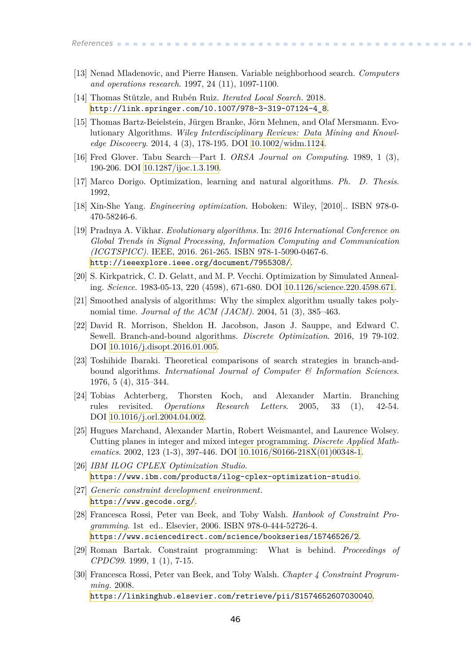- <span id="page-53-0"></span>[13] Nenad Mladenovic, and Pierre Hansen. Variable neighborhood search. *Computers and operations research*. 1997, 24 (11), 1097-1100.
- <span id="page-53-1"></span>[14] Thomas Stützle, and Rubén Ruiz. *Iterated Local Search*. 2018. [http://link.springer.com/10.1007/978-3-319-07124-4\\_8](http://link.springer.com/10.1007/978-3-319-07124-4_8).
- <span id="page-53-2"></span>[15] Thomas Bartz-Beielstein, Jürgen Branke, Jörn Mehnen, and Olaf Mersmann. Evolutionary Algorithms. *Wiley Interdisciplinary Reviews: Data Mining and Knowledge Discovery*. 2014, 4 (3), 178-195. DOI [10.1002/widm.1124.](http://dx.doi.org/10.1002/widm.1124)
- <span id="page-53-3"></span>[16] Fred Glover. Tabu Search—Part I. *ORSA Journal on Computing*. 1989, 1 (3), 190-206. DOI [10.1287/ijoc.1.3.190.](http://dx.doi.org/10.1287/ijoc.1.3.190)
- <span id="page-53-4"></span>[17] Marco Dorigo. Optimization, learning and natural algorithms. *Ph. D. Thesis*. 1992,
- <span id="page-53-5"></span>[18] Xin-She Yang. *Engineering optimization*. Hoboken: Wiley, [2010].. ISBN 978-0- 470-58246-6.
- <span id="page-53-6"></span>[19] Pradnya A. Vikhar. *Evolutionary algorithms.* In: *2016 International Conference on Global Trends in Signal Processing, Information Computing and Communication (ICGTSPICC)*. IEEE, 2016. 261-265. ISBN 978-1-5090-0467-6. <http://ieeexplore.ieee.org/document/7955308/>.
- <span id="page-53-7"></span>[20] S. Kirkpatrick, C. D. Gelatt, and M. P. Vecchi. Optimization by Simulated Annealing. *Science*. 1983-05-13, 220 (4598), 671-680. DOI [10.1126/science.220.4598.671](http://dx.doi.org/10.1126/science.220.4598.671).
- <span id="page-53-8"></span>[21] Smoothed analysis of algorithms: Why the simplex algorithm usually takes polynomial time. *Journal of the ACM (JACM)*. 2004, 51 (3), 385–463.
- <span id="page-53-9"></span>[22] David R. Morrison, Sheldon H. Jacobson, Jason J. Sauppe, and Edward C. Sewell. Branch-and-bound algorithms. *Discrete Optimization*. 2016, 19 79-102. DOI [10.1016/j.disopt.2016.01.005](http://dx.doi.org/10.1016/j.disopt.2016.01.005).
- <span id="page-53-10"></span>[23] Toshihide Ibaraki. Theoretical comparisons of search strategies in branch-andbound algorithms. *International Journal of Computer & Information Sciences*. 1976, 5 (4), 315–344.
- <span id="page-53-11"></span>[24] Tobias Achterberg, Thorsten Koch, and Alexander Martin. Branching rules revisited. *Operations Research Letters*. 2005, 33 (1), 42-54. DOI [10.1016/j.orl.2004.04.002.](http://dx.doi.org/10.1016/j.orl.2004.04.002)
- <span id="page-53-12"></span>[25] Hugues Marchand, Alexander Martin, Robert Weismantel, and Laurence Wolsey. Cutting planes in integer and mixed integer programming. *Discrete Applied Mathematics*. 2002, 123 (1-3), 397-446. DOI [10.1016/S0166-218X\(01\)00348-1.](http://dx.doi.org/10.1016/S0166-218X(01)00348-1)
- <span id="page-53-13"></span>[26] *IBM ILOG CPLEX Optimization Studio*. <https://www.ibm.com/products/ilog-cplex-optimization-studio>.
- <span id="page-53-14"></span>[27] *Generic constraint development environment*. <https://www.gecode.org/>.
- <span id="page-53-15"></span>[28] Francesca Rossi, Peter van Beek, and Toby Walsh. *Hanbook of Constraint Programming*. 1st ed.. Elsevier, 2006. ISBN 978-0-444-52726-4. <https://www.sciencedirect.com/science/bookseries/15746526/2>.
- <span id="page-53-16"></span>[29] Roman Bartak. Constraint programming: What is behind. *Proceedings of CPDC99*. 1999, 1 (1), 7-15.
- <span id="page-53-17"></span>[30] Francesca Rossi, Peter van Beek, and Toby Walsh. *Chapter 4 Constraint Programming*. 2008.

<https://linkinghub.elsevier.com/retrieve/pii/S1574652607030040>.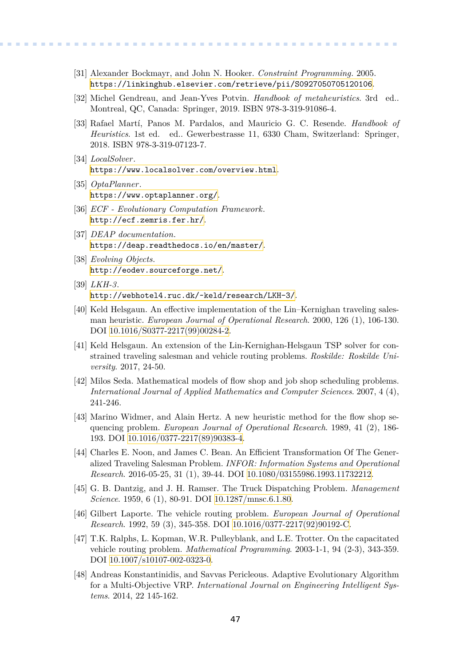<span id="page-54-0"></span>[31] Alexander Bockmayr, and John N. Hooker. *Constraint Programming*. 2005. <https://linkinghub.elsevier.com/retrieve/pii/S0927050705120106>.

**.................................................**

- <span id="page-54-1"></span>[32] Michel Gendreau, and Jean-Yves Potvin. *Handbook of metaheuristics*. 3rd ed.. Montreal, QC, Canada: Springer, 2019. ISBN 978-3-319-91086-4.
- <span id="page-54-2"></span>[33] Rafael Martí, Panos M. Pardalos, and Mauricio G. C. Resende. *Handbook of Heuristics*. 1st ed. ed.. Gewerbestrasse 11, 6330 Cham, Switzerland: Springer, 2018. ISBN 978-3-319-07123-7.
- <span id="page-54-3"></span>[34] *LocalSolver*. <https://www.localsolver.com/overview.html>.
- <span id="page-54-4"></span>[35] *OptaPlanner*. <https://www.optaplanner.org/>.
- <span id="page-54-5"></span>[36] *ECF - Evolutionary Computation Framework*. <http://ecf.zemris.fer.hr/>.
- <span id="page-54-6"></span>[37] *DEAP documentation*. <https://deap.readthedocs.io/en/master/>.
- <span id="page-54-7"></span>[38] *Evolving Objects*. <http://eodev.sourceforge.net/>.
- <span id="page-54-8"></span>[39] *LKH-3*. <http://webhotel4.ruc.dk/~keld/research/LKH-3/>.
- <span id="page-54-9"></span>[40] Keld Helsgaun. An effective implementation of the Lin–Kernighan traveling salesman heuristic. *European Journal of Operational Research*. 2000, 126 (1), 106-130. DOI [10.1016/S0377-2217\(99\)00284-2](http://dx.doi.org/10.1016/S0377-2217(99)00284-2).
- <span id="page-54-10"></span>[41] Keld Helsgaun. An extension of the Lin-Kernighan-Helsgaun TSP solver for constrained traveling salesman and vehicle routing problems. *Roskilde: Roskilde University*. 2017, 24-50.
- <span id="page-54-11"></span>[42] Milos Seda. Mathematical models of flow shop and job shop scheduling problems. *International Journal of Applied Mathematics and Computer Sciences*. 2007, 4 (4), 241-246.
- <span id="page-54-12"></span>[43] Marino Widmer, and Alain Hertz. A new heuristic method for the flow shop sequencing problem. *European Journal of Operational Research*. 1989, 41 (2), 186- 193. DOI [10.1016/0377-2217\(89\)90383-4](http://dx.doi.org/10.1016/0377-2217(89)90383-4).
- <span id="page-54-13"></span>[44] Charles E. Noon, and James C. Bean. An Efficient Transformation Of The Generalized Traveling Salesman Problem. *INFOR: Information Systems and Operational Research*. 2016-05-25, 31 (1), 39-44. DOI [10.1080/03155986.1993.11732212](http://dx.doi.org/10.1080/03155986.1993.11732212).
- <span id="page-54-14"></span>[45] G. B. Dantzig, and J. H. Ramser. The Truck Dispatching Problem. *Management Science*. 1959, 6 (1), 80-91. DOI [10.1287/mnsc.6.1.80](http://dx.doi.org/10.1287/mnsc.6.1.80).
- <span id="page-54-15"></span>[46] Gilbert Laporte. The vehicle routing problem. *European Journal of Operational Research*. 1992, 59 (3), 345-358. DOI [10.1016/0377-2217\(92\)90192-C](http://dx.doi.org/10.1016/0377-2217(92)90192-C).
- <span id="page-54-16"></span>[47] T.K. Ralphs, L. Kopman, W.R. Pulleyblank, and L.E. Trotter. On the capacitated vehicle routing problem. *Mathematical Programming*. 2003-1-1, 94 (2-3), 343-359. DOI [10.1007/s10107-002-0323-0](http://dx.doi.org/10.1007/s10107-002-0323-0).
- <span id="page-54-17"></span>[48] Andreas Konstantinidis, and Savvas Pericleous. Adaptive Evolutionary Algorithm for a Multi-Objective VRP. *International Journal on Engineering Intelligent Systems*. 2014, 22 145-162.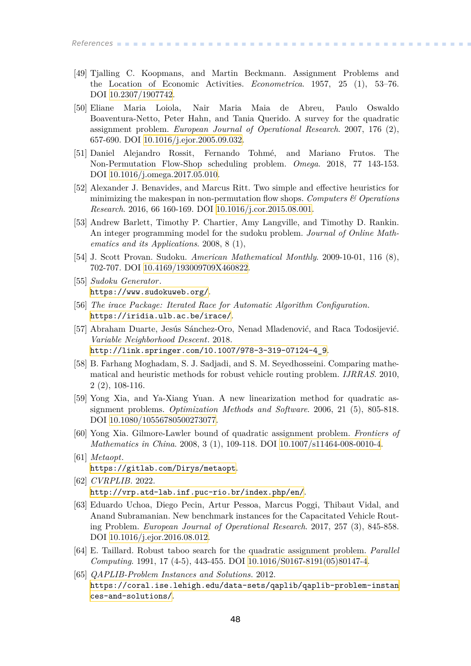*References* **............................................**

- <span id="page-55-0"></span>[49] Tjalling C. Koopmans, and Martin Beckmann. Assignment Problems and the Location of Economic Activities. *Econometrica*. 1957, 25 (1), 53–76. DOI [10.2307/1907742](http://dx.doi.org/10.2307/1907742).
- <span id="page-55-1"></span>[50] Eliane Maria Loiola, Nair Maria Maia de Abreu, Paulo Oswaldo Boaventura-Netto, Peter Hahn, and Tania Querido. A survey for the quadratic assignment problem. *European Journal of Operational Research*. 2007, 176 (2), 657-690. DOI [10.1016/j.ejor.2005.09.032.](http://dx.doi.org/10.1016/j.ejor.2005.09.032)
- <span id="page-55-2"></span>[51] Daniel Alejandro Rossit, Fernando Tohmé, and Mariano Frutos. The Non-Permutation Flow-Shop scheduling problem. *Omega*. 2018, 77 143-153. DOI [10.1016/j.omega.2017.05.010](http://dx.doi.org/10.1016/j.omega.2017.05.010).
- <span id="page-55-3"></span>[52] Alexander J. Benavides, and Marcus Ritt. Two simple and effective heuristics for minimizing the makespan in non-permutation flow shops. *Computers & Operations Research*. 2016, 66 160-169. DOI [10.1016/j.cor.2015.08.001](http://dx.doi.org/10.1016/j.cor.2015.08.001).
- <span id="page-55-4"></span>[53] Andrew Barlett, Timothy P. Chartier, Amy Langville, and Timothy D. Rankin. An integer programming model for the sudoku problem. *Journal of Online Mathematics and its Applications*. 2008, 8 (1),
- <span id="page-55-5"></span>[54] J. Scott Provan. Sudoku. *American Mathematical Monthly*. 2009-10-01, 116 (8), 702-707. DOI [10.4169/193009709X460822](http://dx.doi.org/10.4169/193009709X460822).
- <span id="page-55-6"></span>[55] *Sudoku Generator*. <https://www.sudokuweb.org/>.
- <span id="page-55-7"></span>[56] *The irace Package: Iterated Race for Automatic Algorithm Configuration*. <https://iridia.ulb.ac.be/irace/>.
- <span id="page-55-8"></span>[57] Abraham Duarte, Jesús Sánchez-Oro, Nenad Mladenović, and Raca Todosijević. *Variable Neighborhood Descent*. 2018. [http://link.springer.com/10.1007/978-3-319-07124-4\\_9](http://link.springer.com/10.1007/978-3-319-07124-4_9).
- <span id="page-55-9"></span>[58] B. Farhang Moghadam, S. J. Sadjadi, and S. M. Seyedhosseini. Comparing mathematical and heuristic methods for robust vehicle routing problem. *IJRRAS*. 2010, 2 (2), 108-116.
- <span id="page-55-10"></span>[59] Yong Xia, and Ya-Xiang Yuan. A new linearization method for quadratic assignment problems. *Optimization Methods and Software*. 2006, 21 (5), 805-818. DOI [10.1080/10556780500273077](http://dx.doi.org/10.1080/10556780500273077).
- <span id="page-55-11"></span>[60] Yong Xia. Gilmore-Lawler bound of quadratic assignment problem. *Frontiers of Mathematics in China.* 2008, 3 (1), 109-118. DOI [10.1007/s11464-008-0010-4](http://dx.doi.org/10.1007/s11464-008-0010-4).
- <span id="page-55-12"></span>[61] *Metaopt*. <https://gitlab.com/Dirys/metaopt>.
- <span id="page-55-13"></span>[62] *CVRPLIB*. 2022. <http://vrp.atd-lab.inf.puc-rio.br/index.php/en/>.
- <span id="page-55-14"></span>[63] Eduardo Uchoa, Diego Pecin, Artur Pessoa, Marcus Poggi, Thibaut Vidal, and Anand Subramanian. New benchmark instances for the Capacitated Vehicle Routing Problem. *European Journal of Operational Research*. 2017, 257 (3), 845-858. DOI [10.1016/j.ejor.2016.08.012.](http://dx.doi.org/10.1016/j.ejor.2016.08.012)
- <span id="page-55-15"></span>[64] E. Taillard. Robust taboo search for the quadratic assignment problem. *Parallel Computing*. 1991, 17 (4-5), 443-455. DOI [10.1016/S0167-8191\(05\)80147-4.](http://dx.doi.org/10.1016/S0167-8191(05)80147-4)
- <span id="page-55-16"></span>[65] *QAPLIB-Problem Instances and Solutions*. 2012. [https://coral.ise.lehigh.edu/data-sets/qaplib/qaplib-problem-instan](https://coral.ise.lehigh.edu/data-sets/qaplib/qaplib-problem-instances-and-solutions/) [ces-and-solutions/](https://coral.ise.lehigh.edu/data-sets/qaplib/qaplib-problem-instances-and-solutions/).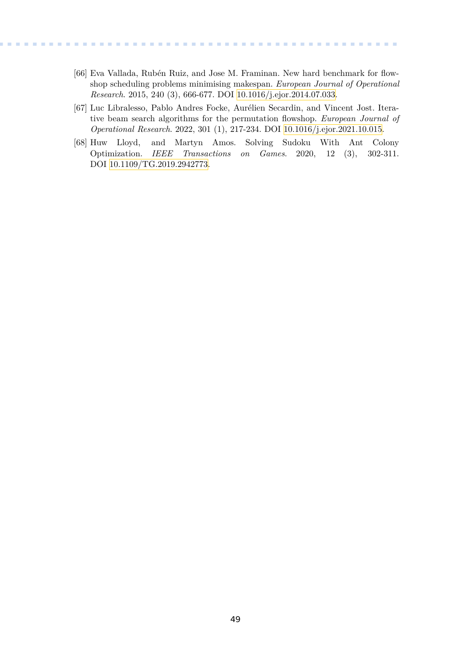<span id="page-56-0"></span>[66] Eva Vallada, Rubén Ruiz, and Jose M. Framinan. New hard benchmark for flowshop scheduling problems minimising makespan. *European Journal of Operational Research*. 2015, 240 (3), 666-677. DOI [10.1016/j.ejor.2014.07.033.](http://dx.doi.org/10.1016/j.ejor.2014.07.033)

**.................................................**

- <span id="page-56-1"></span>[67] Luc Libralesso, Pablo Andres Focke, Aurélien Secardin, and Vincent Jost. Iterative beam search algorithms for the permutation flowshop. *European Journal of Operational Research*. 2022, 301 (1), 217-234. DOI [10.1016/j.ejor.2021.10.015](http://dx.doi.org/10.1016/j.ejor.2021.10.015).
- <span id="page-56-2"></span>[68] Huw Lloyd, and Martyn Amos. Solving Sudoku With Ant Colony Optimization. *IEEE Transactions on Games*. 2020, 12 (3), 302-311. DOI [10.1109/TG.2019.2942773.](http://dx.doi.org/10.1109/TG.2019.2942773)